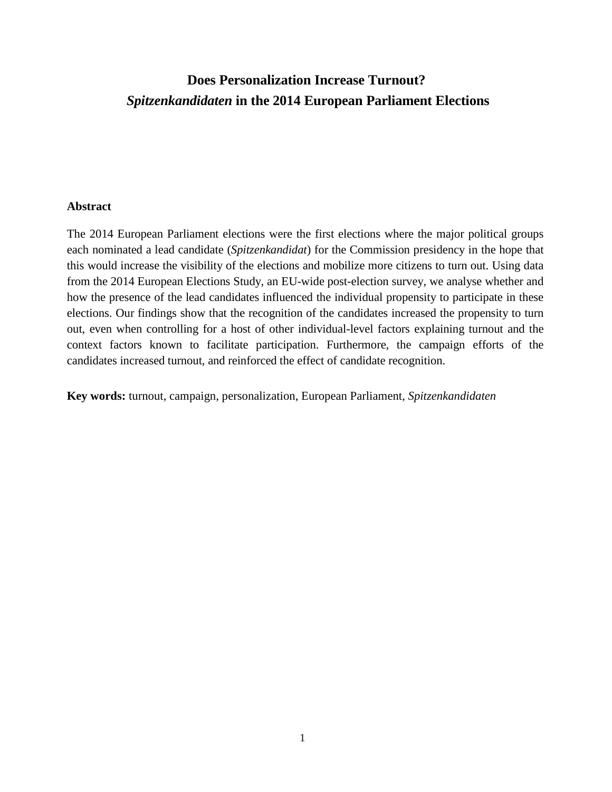# **Does Personalization Increase Turnout?** *Spitzenkandidaten* **in the 2014 European Parliament Elections**

## **Abstract**

The 2014 European Parliament elections were the first elections where the major political groups each nominated a lead candidate (*Spitzenkandidat*) for the Commission presidency in the hope that this would increase the visibility of the elections and mobilize more citizens to turn out. Using data from the 2014 European Elections Study, an EU-wide post-election survey, we analyse whether and how the presence of the lead candidates influenced the individual propensity to participate in these elections. Our findings show that the recognition of the candidates increased the propensity to turn out, even when controlling for a host of other individual-level factors explaining turnout and the context factors known to facilitate participation. Furthermore, the campaign efforts of the candidates increased turnout, and reinforced the effect of candidate recognition.

**Key words:** turnout, campaign, personalization, European Parliament, *Spitzenkandidaten*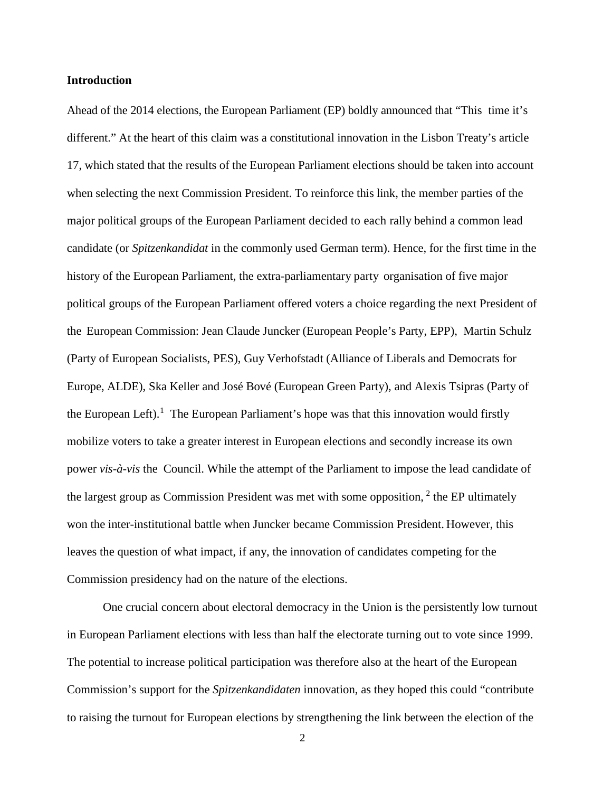#### **Introduction**

Ahead of the 2014 elections, the European Parliament (EP) boldly announced that "This time it's different." At the heart of this claim was a constitutional innovation in the Lisbon Treaty's article 17, which stated that the results of the European Parliament elections should be taken into account when selecting the next Commission President. To reinforce this link, the member parties of the major political groups of the European Parliament decided to each rally behind a common lead candidate (or *Spitzenkandidat* in the commonly used German term). Hence, for the first time in the history of the European Parliament, the extra-parliamentary party organisation of five major political groups of the European Parliament offered voters a choice regarding the next President of the European Commission: Jean Claude Juncker (European People's Party, EPP), Martin Schulz (Party of European Socialists, PES), Guy Verhofstadt (Alliance of Liberals and Democrats for Europe, ALDE), Ska Keller and José Bové (European Green Party), and Alexis Tsipras (Party of the European Left).<sup>[1](#page-28-0)</sup> The European Parliament's hope was that this innovation would firstly mobilize voters to take a greater interest in European elections and secondly increase its own power *vis-à-vis* the Council. While the attempt of the Parliament to impose the lead candidate of the largest group as Commission President was met with some opposition,  $2$  the EP ultimately won the inter-institutional battle when Juncker became Commission President. However, this leaves the question of what impact, if any, the innovation of candidates competing for the Commission presidency had on the nature of the elections.

One crucial concern about electoral democracy in the Union is the persistently low turnout in European Parliament elections with less than half the electorate turning out to vote since 1999. The potential to increase political participation was therefore also at the heart of the European Commission's support for the *Spitzenkandidaten* innovation, as they hoped this could "contribute to raising the turnout for European elections by strengthening the link between the election of the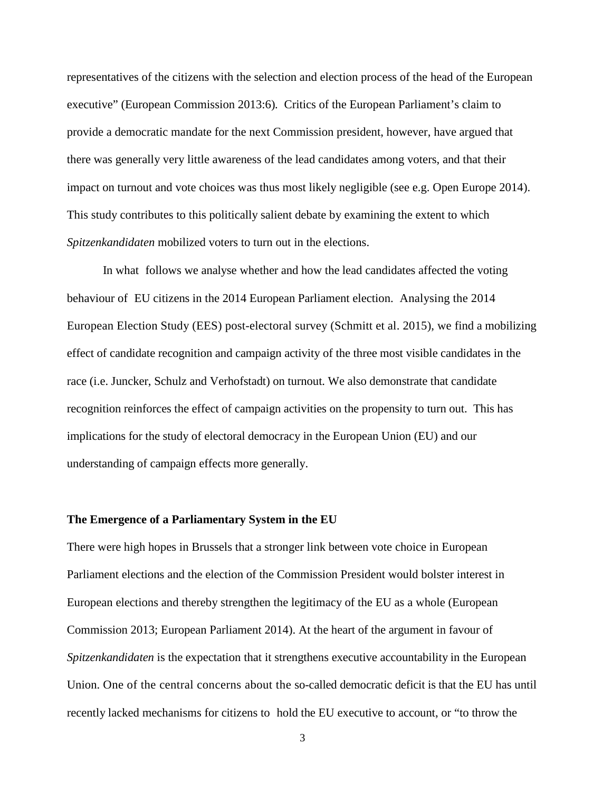representatives of the citizens with the selection and election process of the head of the European executive" (European Commission 2013:6)*.* Critics of the European Parliament's claim to provide a democratic mandate for the next Commission president, however, have argued that there was generally very little awareness of the lead candidates among voters, and that their impact on turnout and vote choices was thus most likely negligible (see e.g. Open Europe 2014). This study contributes to this politically salient debate by examining the extent to which *Spitzenkandidaten* mobilized voters to turn out in the elections.

In what follows we analyse whether and how the lead candidates affected the voting behaviour of EU citizens in the 2014 European Parliament election. Analysing the 2014 European Election Study (EES) post-electoral survey (Schmitt et al. 2015), we find a mobilizing effect of candidate recognition and campaign activity of the three most visible candidates in the race (i.e. Juncker, Schulz and Verhofstadt) on turnout. We also demonstrate that candidate recognition reinforces the effect of campaign activities on the propensity to turn out. This has implications for the study of electoral democracy in the European Union (EU) and our understanding of campaign effects more generally.

### **The Emergence of a Parliamentary System in the EU**

There were high hopes in Brussels that a stronger link between vote choice in European Parliament elections and the election of the Commission President would bolster interest in European elections and thereby strengthen the legitimacy of the EU as a whole (European Commission 2013; European Parliament 2014). At the heart of the argument in favour of *Spitzenkandidaten* is the expectation that it strengthens executive accountability in the European Union. One of the central concerns about the so-called democratic deficit is that the EU has until recently lacked mechanisms for citizens to hold the EU executive to account, or "to throw the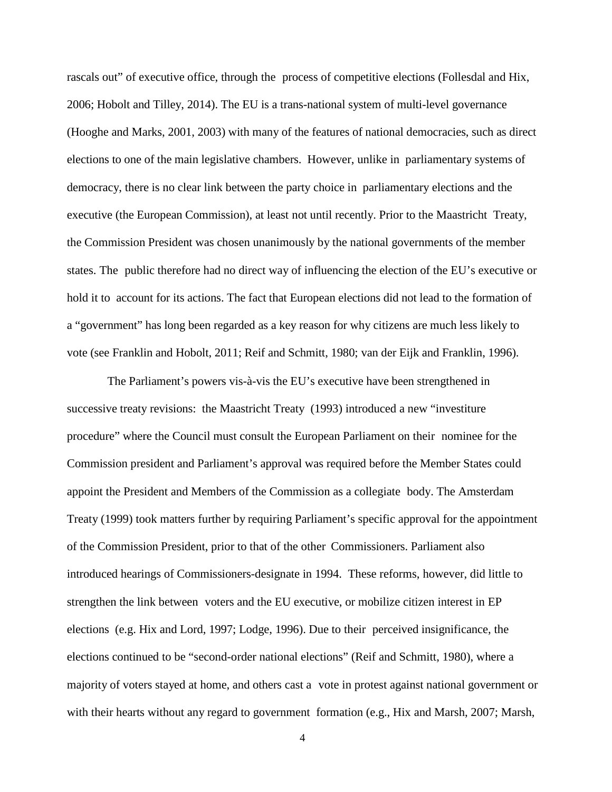rascals out" of executive office, through the process of competitive elections (Follesdal and Hix, 2006; Hobolt and Tilley, 2014). The EU is a trans-national system of multi-level governance (Hooghe and Marks, 2001, 2003) with many of the features of national democracies, such as direct elections to one of the main legislative chambers. However, unlike in parliamentary systems of democracy, there is no clear link between the party choice in parliamentary elections and the executive (the European Commission), at least not until recently. Prior to the Maastricht Treaty, the Commission President was chosen unanimously by the national governments of the member states. The public therefore had no direct way of influencing the election of the EU's executive or hold it to account for its actions. The fact that European elections did not lead to the formation of a "government" has long been regarded as a key reason for why citizens are much less likely to vote (see Franklin and Hobolt, 2011; Reif and Schmitt, 1980; van der Eijk and Franklin, 1996).

The Parliament's powers vis-à-vis the EU's executive have been strengthened in successive treaty revisions: the Maastricht Treaty (1993) introduced a new "investiture procedure" where the Council must consult the European Parliament on their nominee for the Commission president and Parliament's approval was required before the Member States could appoint the President and Members of the Commission as a collegiate body. The Amsterdam Treaty (1999) took matters further by requiring Parliament's specific approval for the appointment of the Commission President, prior to that of the other Commissioners. Parliament also introduced hearings of Commissioners-designate in 1994. These reforms, however, did little to strengthen the link between voters and the EU executive, or mobilize citizen interest in EP elections (e.g. Hix and Lord, 1997; Lodge, 1996). Due to their perceived insignificance, the elections continued to be "second-order national elections" (Reif and Schmitt, 1980), where a majority of voters stayed at home, and others cast a vote in protest against national government or with their hearts without any regard to government formation (e.g., Hix and Marsh, 2007; Marsh,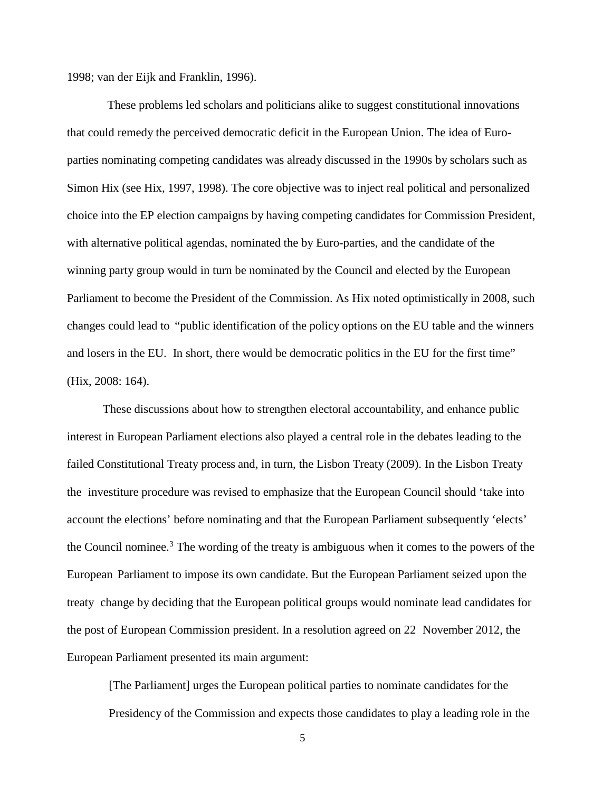1998; van der Eijk and Franklin, 1996).

These problems led scholars and politicians alike to suggest constitutional innovations that could remedy the perceived democratic deficit in the European Union. The idea of Europarties nominating competing candidates was already discussed in the 1990s by scholars such as Simon Hix (see Hix, 1997, 1998). The core objective was to inject real political and personalized choice into the EP election campaigns by having competing candidates for Commission President, with alternative political agendas, nominated the by Euro-parties, and the candidate of the winning party group would in turn be nominated by the Council and elected by the European Parliament to become the President of the Commission. As Hix noted optimistically in 2008, such changes could lead to "public identification of the policy options on the EU table and the winners and losers in the EU. In short, there would be democratic politics in the EU for the first time" (Hix, 2008: 164).

These discussions about how to strengthen electoral accountability, and enhance public interest in European Parliament elections also played a central role in the debates leading to the failed Constitutional Treaty process and, in turn, the Lisbon Treaty (2009). In the Lisbon Treaty the investiture procedure was revised to emphasize that the European Council should 'take into account the elections' before nominating and that the European Parliament subsequently 'elects' the Council nominee.<sup>[3](#page-28-2)</sup> The wording of the treaty is ambiguous when it comes to the powers of the European Parliament to impose its own candidate. But the European Parliament seized upon the treaty change by deciding that the European political groups would nominate lead candidates for the post of European Commission president. In a resolution agreed on 22 November 2012, the European Parliament presented its main argument:

[The Parliament] urges the European political parties to nominate candidates for the Presidency of the Commission and expects those candidates to play a leading role in the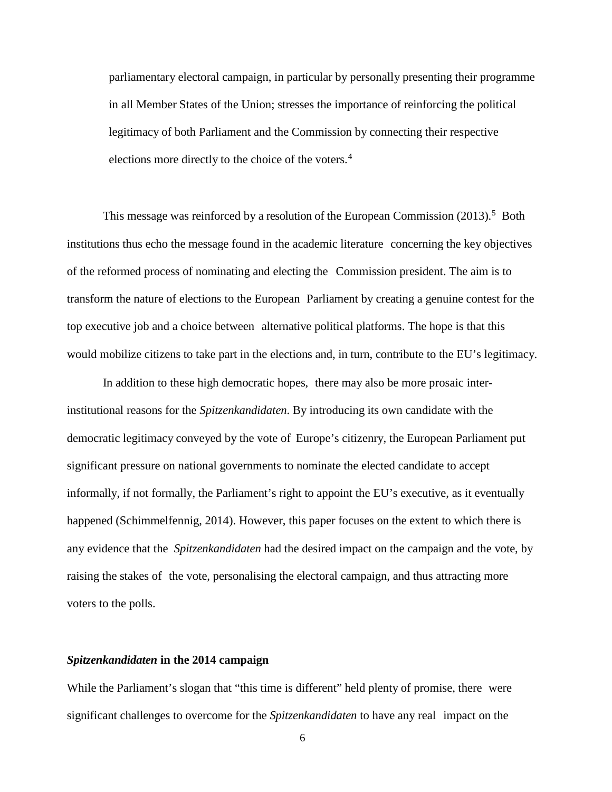parliamentary electoral campaign, in particular by personally presenting their programme in all Member States of the Union; stresses the importance of reinforcing the political legitimacy of both Parliament and the Commission by connecting their respective elections more directly to the choice of the voters.<sup>[4](#page-28-3)</sup>

This message was reinforced by a resolution of the European Commission (2013).<sup>[5](#page-28-4)</sup> Both institutions thus echo the message found in the academic literature concerning the key objectives of the reformed process of nominating and electing the Commission president. The aim is to transform the nature of elections to the European Parliament by creating a genuine contest for the top executive job and a choice between alternative political platforms. The hope is that this would mobilize citizens to take part in the elections and, in turn, contribute to the EU's legitimacy.

In addition to these high democratic hopes, there may also be more prosaic interinstitutional reasons for the *Spitzenkandidaten*. By introducing its own candidate with the democratic legitimacy conveyed by the vote of Europe's citizenry, the European Parliament put significant pressure on national governments to nominate the elected candidate to accept informally, if not formally, the Parliament's right to appoint the EU's executive, as it eventually happened (Schimmelfennig, 2014). However, this paper focuses on the extent to which there is any evidence that the *Spitzenkandidaten* had the desired impact on the campaign and the vote, by raising the stakes of the vote, personalising the electoral campaign, and thus attracting more voters to the polls.

#### *Spitzenkandidaten* **in the 2014 campaign**

While the Parliament's slogan that "this time is different" held plenty of promise, there were significant challenges to overcome for the *Spitzenkandidaten* to have any real impact on the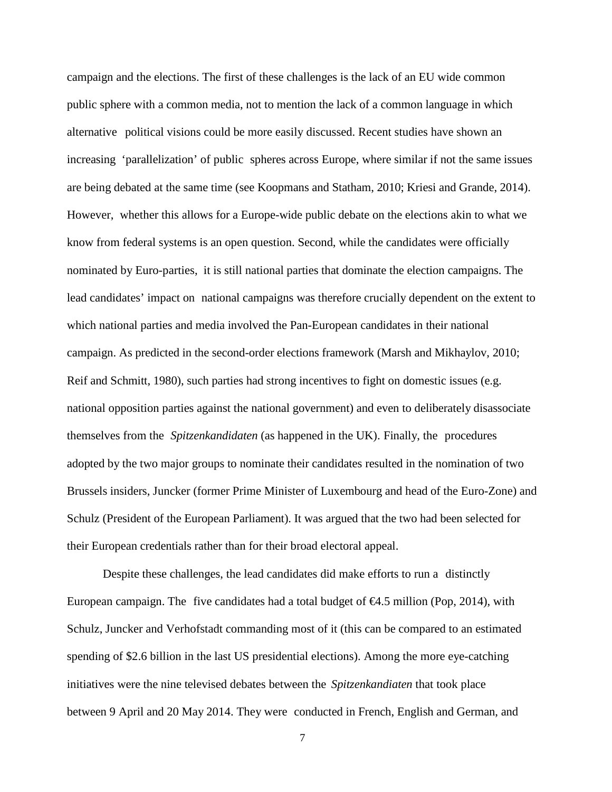campaign and the elections. The first of these challenges is the lack of an EU wide common public sphere with a common media, not to mention the lack of a common language in which alternative political visions could be more easily discussed. Recent studies have shown an increasing 'parallelization' of public spheres across Europe, where similar if not the same issues are being debated at the same time (see Koopmans and Statham, 2010; Kriesi and Grande, 2014). However, whether this allows for a Europe-wide public debate on the elections akin to what we know from federal systems is an open question. Second, while the candidates were officially nominated by Euro-parties, it is still national parties that dominate the election campaigns. The lead candidates' impact on national campaigns was therefore crucially dependent on the extent to which national parties and media involved the Pan-European candidates in their national campaign. As predicted in the second-order elections framework (Marsh and Mikhaylov, 2010; Reif and Schmitt, 1980), such parties had strong incentives to fight on domestic issues (e.g. national opposition parties against the national government) and even to deliberately disassociate themselves from the *Spitzenkandidaten* (as happened in the UK). Finally, the procedures adopted by the two major groups to nominate their candidates resulted in the nomination of two Brussels insiders, Juncker (former Prime Minister of Luxembourg and head of the Euro-Zone) and Schulz (President of the European Parliament). It was argued that the two had been selected for their European credentials rather than for their broad electoral appeal.

Despite these challenges, the lead candidates did make efforts to run a distinctly European campaign. The five candidates had a total budget of  $\epsilon 4.5$  million (Pop, 2014), with Schulz, Juncker and Verhofstadt commanding most of it (this can be compared to an estimated spending of \$2.6 billion in the last US presidential elections). Among the more eye-catching initiatives were the nine televised debates between the *Spitzenkandiaten* that took place between 9 April and 20 May 2014. They were conducted in French, English and German, and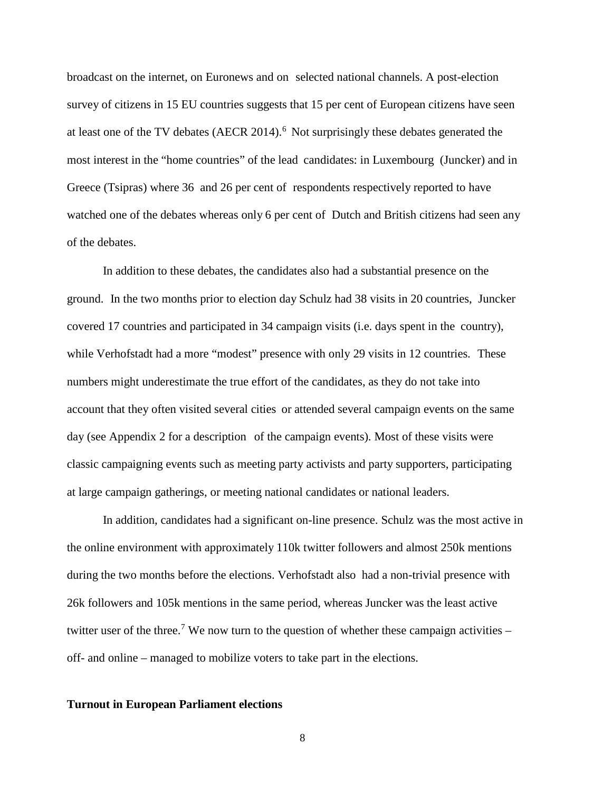broadcast on the internet, on Euronews and on selected national channels. A post-election survey of citizens in 15 EU countries suggests that 15 per cent of European citizens have seen at least one of the TV debates (AECR 2014).<sup>[6](#page-28-5)</sup> Not surprisingly these debates generated the most interest in the "home countries" of the lead candidates: in Luxembourg (Juncker) and in Greece (Tsipras) where 36 and 26 per cent of respondents respectively reported to have watched one of the debates whereas only 6 per cent of Dutch and British citizens had seen any of the debates.

In addition to these debates, the candidates also had a substantial presence on the ground. In the two months prior to election day Schulz had 38 visits in 20 countries, Juncker covered 17 countries and participated in 34 campaign visits (i.e. days spent in the country), while Verhofstadt had a more "modest" presence with only 29 visits in 12 countries. These numbers might underestimate the true effort of the candidates, as they do not take into account that they often visited several cities or attended several campaign events on the same day (see Appendix 2 for a description of the campaign events). Most of these visits were classic campaigning events such as meeting party activists and party supporters, participating at large campaign gatherings, or meeting national candidates or national leaders.

In addition, candidates had a significant on-line presence. Schulz was the most active in the online environment with approximately 110k twitter followers and almost 250k mentions during the two months before the elections. Verhofstadt also had a non-trivial presence with 26k followers and 105k mentions in the same period, whereas Juncker was the least active twitter user of the three.<sup>[7](#page-28-6)</sup> We now turn to the question of whether these campaign activities  $$ off- and online – managed to mobilize voters to take part in the elections.

#### **Turnout in European Parliament elections**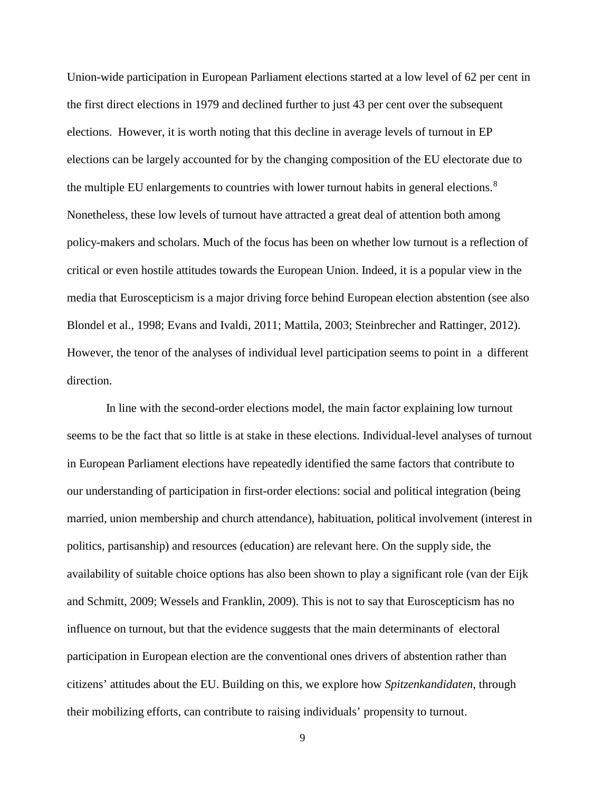Union-wide participation in European Parliament elections started at a low level of 62 per cent in the first direct elections in 1979 and declined further to just 43 per cent over the subsequent elections. However, it is worth noting that this decline in average levels of turnout in EP elections can be largely accounted for by the changing composition of the EU electorate due to the multiple EU enlargements to countries with lower turnout habits in general elections.<sup>[8](#page-28-7)</sup> Nonetheless, these low levels of turnout have attracted a great deal of attention both among policy-makers and scholars. Much of the focus has been on whether low turnout is a reflection of critical or even hostile attitudes towards the European Union. Indeed, it is a popular view in the media that Euroscepticism is a major driving force behind European election abstention (see also Blondel et al., 1998; Evans and Ivaldi, 2011; Mattila, 2003; Steinbrecher and Rattinger, 2012). However, the tenor of the analyses of individual level participation seems to point in a different direction.

In line with the second-order elections model, the main factor explaining low turnout seems to be the fact that so little is at stake in these elections. Individual-level analyses of turnout in European Parliament elections have repeatedly identified the same factors that contribute to our understanding of participation in first-order elections: social and political integration (being married, union membership and church attendance), habituation, political involvement (interest in politics, partisanship) and resources (education) are relevant here. On the supply side, the availability of suitable choice options has also been shown to play a significant role (van der Eijk and Schmitt, 2009; Wessels and Franklin, 2009). This is not to say that Euroscepticism has no influence on turnout, but that the evidence suggests that the main determinants of electoral participation in European election are the conventional ones drivers of abstention rather than citizens' attitudes about the EU. Building on this, we explore how *Spitzenkandidaten,* through their mobilizing efforts, can contribute to raising individuals' propensity to turnout.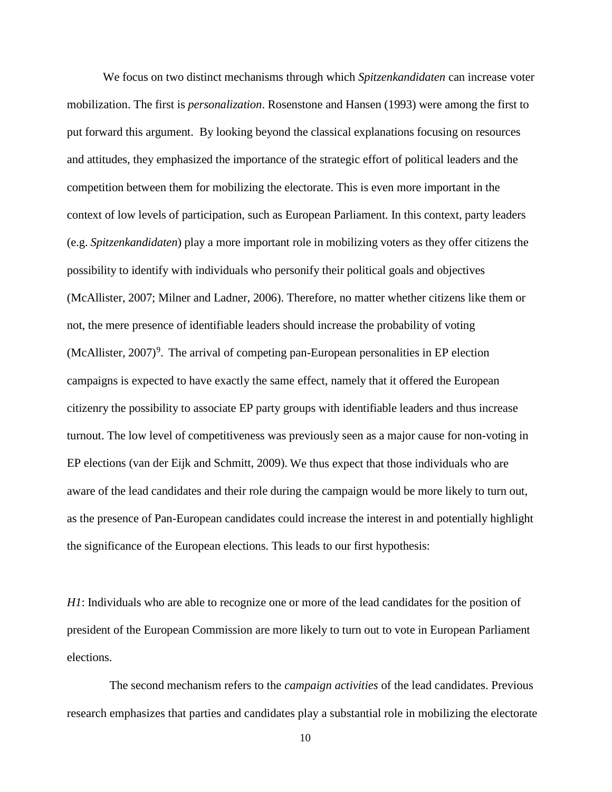We focus on two distinct mechanisms through which *Spitzenkandidaten* can increase voter mobilization. The first is *personalization*. Rosenstone and Hansen (1993) were among the first to put forward this argument. By looking beyond the classical explanations focusing on resources and attitudes, they emphasized the importance of the strategic effort of political leaders and the competition between them for mobilizing the electorate. This is even more important in the context of low levels of participation, such as European Parliament. In this context, party leaders (e.g. *Spitzenkandidaten*) play a more important role in mobilizing voters as they offer citizens the possibility to identify with individuals who personify their political goals and objectives (McAllister, 2007; Milner and Ladner, 2006). Therefore, no matter whether citizens like them or not, the mere presence of identifiable leaders should increase the probability of voting  $(McAllister, 2007)<sup>9</sup>$  $(McAllister, 2007)<sup>9</sup>$  $(McAllister, 2007)<sup>9</sup>$ . The arrival of competing pan-European personalities in EP election campaigns is expected to have exactly the same effect, namely that it offered the European citizenry the possibility to associate EP party groups with identifiable leaders and thus increase turnout. The low level of competitiveness was previously seen as a major cause for non-voting in EP elections (van der Eijk and Schmitt, 2009). We thus expect that those individuals who are aware of the lead candidates and their role during the campaign would be more likely to turn out, as the presence of Pan-European candidates could increase the interest in and potentially highlight the significance of the European elections. This leads to our first hypothesis:

*H1*: Individuals who are able to recognize one or more of the lead candidates for the position of president of the European Commission are more likely to turn out to vote in European Parliament elections.

The second mechanism refers to the *campaign activities* of the lead candidates. Previous research emphasizes that parties and candidates play a substantial role in mobilizing the electorate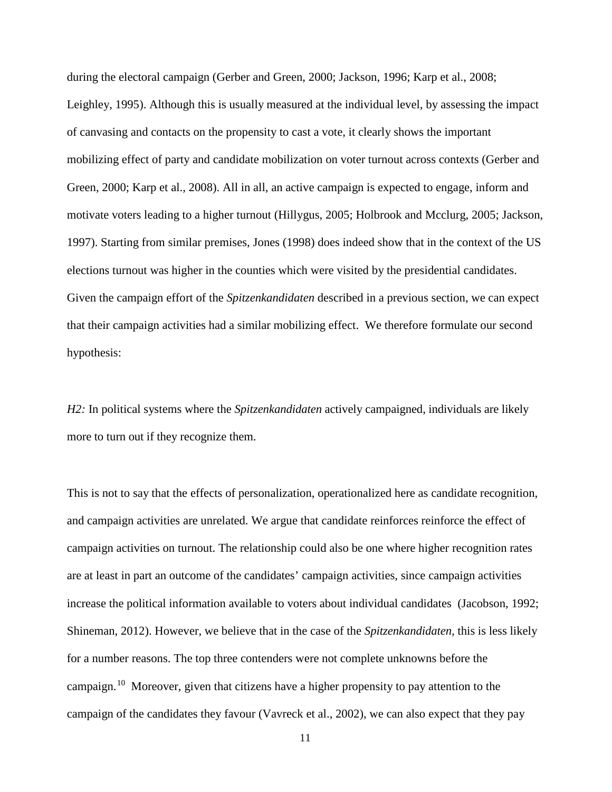during the electoral campaign (Gerber and Green, 2000; Jackson, 1996; Karp et al., 2008; Leighley, 1995). Although this is usually measured at the individual level, by assessing the impact of canvasing and contacts on the propensity to cast a vote, it clearly shows the important mobilizing effect of party and candidate mobilization on voter turnout across contexts (Gerber and Green, 2000; Karp et al., 2008). All in all, an active campaign is expected to engage, inform and motivate voters leading to a higher turnout (Hillygus, 2005; Holbrook and Mcclurg, 2005; Jackson, 1997). Starting from similar premises, Jones (1998) does indeed show that in the context of the US elections turnout was higher in the counties which were visited by the presidential candidates. Given the campaign effort of the *Spitzenkandidaten* described in a previous section, we can expect that their campaign activities had a similar mobilizing effect. We therefore formulate our second hypothesis:

*H2:* In political systems where the *Spitzenkandidaten* actively campaigned, individuals are likely more to turn out if they recognize them.

This is not to say that the effects of personalization, operationalized here as candidate recognition, and campaign activities are unrelated. We argue that candidate reinforces reinforce the effect of campaign activities on turnout. The relationship could also be one where higher recognition rates are at least in part an outcome of the candidates' campaign activities, since campaign activities increase the political information available to voters about individual candidates (Jacobson, 1992; Shineman, 2012). However, we believe that in the case of the *Spitzenkandidaten,* this is less likely for a number reasons. The top three contenders were not complete unknowns before the campaign. [10](#page-29-1) Moreover, given that citizens have a higher propensity to pay attention to the campaign of the candidates they favour (Vavreck et al., 2002), we can also expect that they pay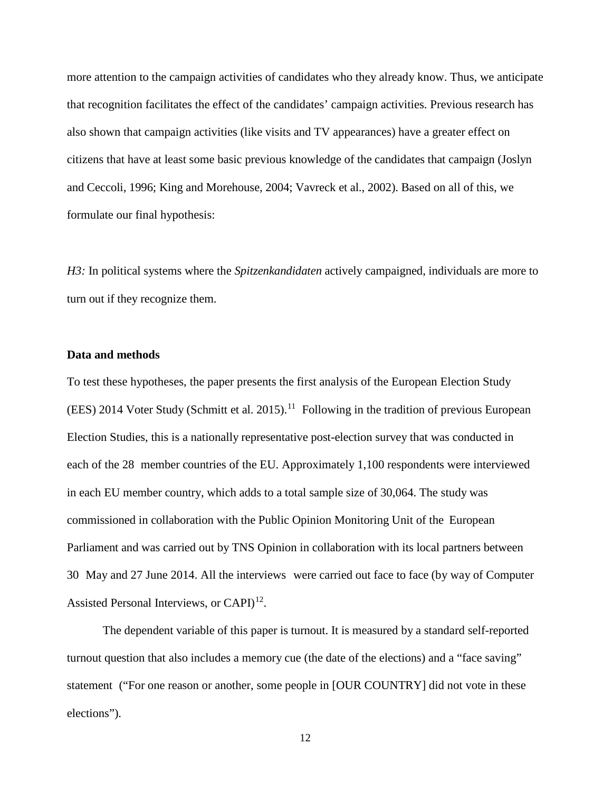more attention to the campaign activities of candidates who they already know. Thus, we anticipate that recognition facilitates the effect of the candidates' campaign activities. Previous research has also shown that campaign activities (like visits and TV appearances) have a greater effect on citizens that have at least some basic previous knowledge of the candidates that campaign (Joslyn and Ceccoli, 1996; King and Morehouse, 2004; Vavreck et al., 2002). Based on all of this, we formulate our final hypothesis:

*H3:* In political systems where the *Spitzenkandidaten* actively campaigned, individuals are more to turn out if they recognize them.

#### **Data and methods**

To test these hypotheses, the paper presents the first analysis of the European Election Study  $(EES)$  2014 Voter Study (Schmitt et al. 2015).<sup>[11](#page-29-2)</sup> Following in the tradition of previous European Election Studies, this is a nationally representative post-election survey that was conducted in each of the 28 member countries of the EU. Approximately 1,100 respondents were interviewed in each EU member country, which adds to a total sample size of 30,064. The study was commissioned in collaboration with the Public Opinion Monitoring Unit of the European Parliament and was carried out by TNS Opinion in collaboration with its local partners between 30 May and 27 June 2014. All the interviews were carried out face to face (by way of Computer Assisted Personal Interviews, or  $CAPI)^{12}$ .

The dependent variable of this paper is turnout. It is measured by a standard self-reported turnout question that also includes a memory cue (the date of the elections) and a "face saving" statement ("For one reason or another, some people in [OUR COUNTRY] did not vote in these elections").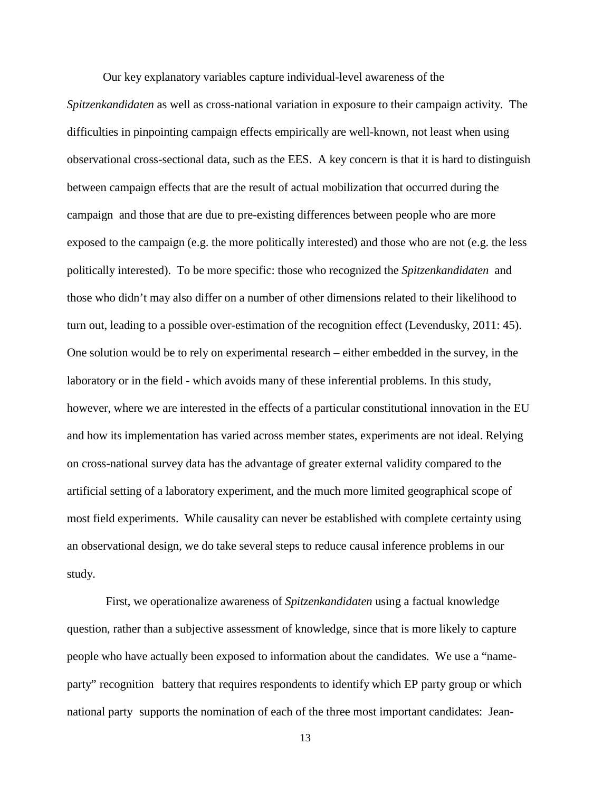Our key explanatory variables capture individual-level awareness of the

*Spitzenkandidaten* as well as cross-national variation in exposure to their campaign activity. The difficulties in pinpointing campaign effects empirically are well-known, not least when using observational cross-sectional data, such as the EES. A key concern is that it is hard to distinguish between campaign effects that are the result of actual mobilization that occurred during the campaign and those that are due to pre-existing differences between people who are more exposed to the campaign (e.g. the more politically interested) and those who are not (e.g. the less politically interested). To be more specific: those who recognized the *Spitzenkandidaten* and those who didn't may also differ on a number of other dimensions related to their likelihood to turn out, leading to a possible over-estimation of the recognition effect (Levendusky, 2011: 45). One solution would be to rely on experimental research – either embedded in the survey, in the laboratory or in the field - which avoids many of these inferential problems. In this study, however, where we are interested in the effects of a particular constitutional innovation in the EU and how its implementation has varied across member states, experiments are not ideal. Relying on cross-national survey data has the advantage of greater external validity compared to the artificial setting of a laboratory experiment, and the much more limited geographical scope of most field experiments. While causality can never be established with complete certainty using an observational design, we do take several steps to reduce causal inference problems in our study.

First, we operationalize awareness of *Spitzenkandidaten* using a factual knowledge question, rather than a subjective assessment of knowledge, since that is more likely to capture people who have actually been exposed to information about the candidates. We use a "nameparty" recognition battery that requires respondents to identify which EP party group or which national party supports the nomination of each of the three most important candidates: Jean-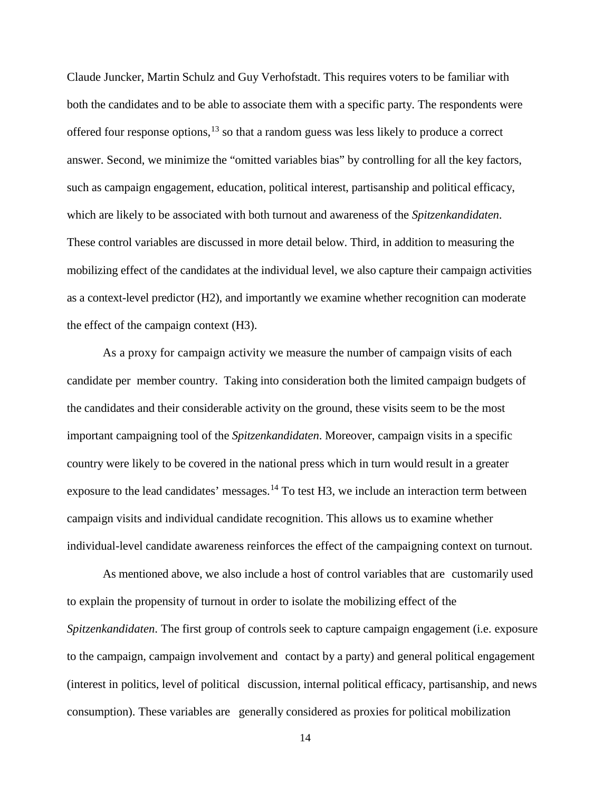Claude Juncker, Martin Schulz and Guy Verhofstadt. This requires voters to be familiar with both the candidates and to be able to associate them with a specific party. The respondents were offered four response options,  $13$  so that a random guess was less likely to produce a correct answer. Second, we minimize the "omitted variables bias" by controlling for all the key factors, such as campaign engagement, education, political interest, partisanship and political efficacy, which are likely to be associated with both turnout and awareness of the *Spitzenkandidaten*. These control variables are discussed in more detail below. Third, in addition to measuring the mobilizing effect of the candidates at the individual level, we also capture their campaign activities as a context-level predictor (H2), and importantly we examine whether recognition can moderate the effect of the campaign context (H3).

As a proxy for campaign activity we measure the number of campaign visits of each candidate per member country. Taking into consideration both the limited campaign budgets of the candidates and their considerable activity on the ground, these visits seem to be the most important campaigning tool of the *Spitzenkandidaten*. Moreover, campaign visits in a specific country were likely to be covered in the national press which in turn would result in a greater exposure to the lead candidates' messages.<sup>[14](#page-30-0)</sup> To test H3, we include an interaction term between campaign visits and individual candidate recognition. This allows us to examine whether individual-level candidate awareness reinforces the effect of the campaigning context on turnout.

As mentioned above, we also include a host of control variables that are customarily used to explain the propensity of turnout in order to isolate the mobilizing effect of the *Spitzenkandidaten*. The first group of controls seek to capture campaign engagement (i.e. exposure to the campaign, campaign involvement and contact by a party) and general political engagement (interest in politics, level of political discussion, internal political efficacy, partisanship, and news consumption). These variables are generally considered as proxies for political mobilization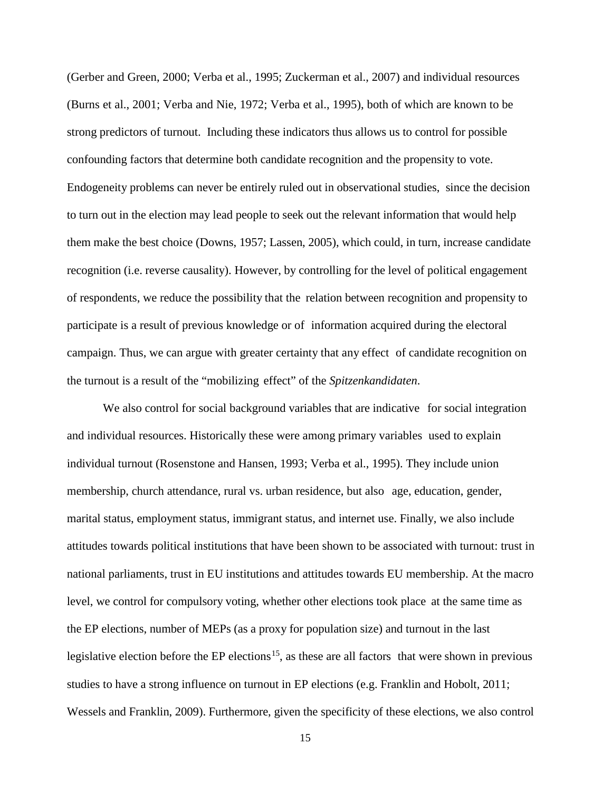(Gerber and Green, 2000; Verba et al., 1995; Zuckerman et al., 2007) and individual resources (Burns et al., 2001; Verba and Nie, 1972; Verba et al., 1995), both of which are known to be strong predictors of turnout. Including these indicators thus allows us to control for possible confounding factors that determine both candidate recognition and the propensity to vote. Endogeneity problems can never be entirely ruled out in observational studies, since the decision to turn out in the election may lead people to seek out the relevant information that would help them make the best choice (Downs, 1957; Lassen, 2005), which could, in turn, increase candidate recognition (i.e. reverse causality). However, by controlling for the level of political engagement of respondents, we reduce the possibility that the relation between recognition and propensity to participate is a result of previous knowledge or of information acquired during the electoral campaign. Thus, we can argue with greater certainty that any effect of candidate recognition on the turnout is a result of the "mobilizing effect" of the *Spitzenkandidaten*.

We also control for social background variables that are indicative for social integration and individual resources. Historically these were among primary variables used to explain individual turnout (Rosenstone and Hansen, 1993; Verba et al., 1995). They include union membership, church attendance, rural vs. urban residence, but also age, education, gender, marital status, employment status, immigrant status, and internet use. Finally, we also include attitudes towards political institutions that have been shown to be associated with turnout: trust in national parliaments, trust in EU institutions and attitudes towards EU membership. At the macro level, we control for compulsory voting, whether other elections took place at the same time as the EP elections, number of MEPs (as a proxy for population size) and turnout in the last legislative election before the EP elections<sup>15</sup>, as these are all factors that were shown in previous studies to have a strong influence on turnout in EP elections (e.g. Franklin and Hobolt, 2011; Wessels and Franklin, 2009). Furthermore, given the specificity of these elections, we also control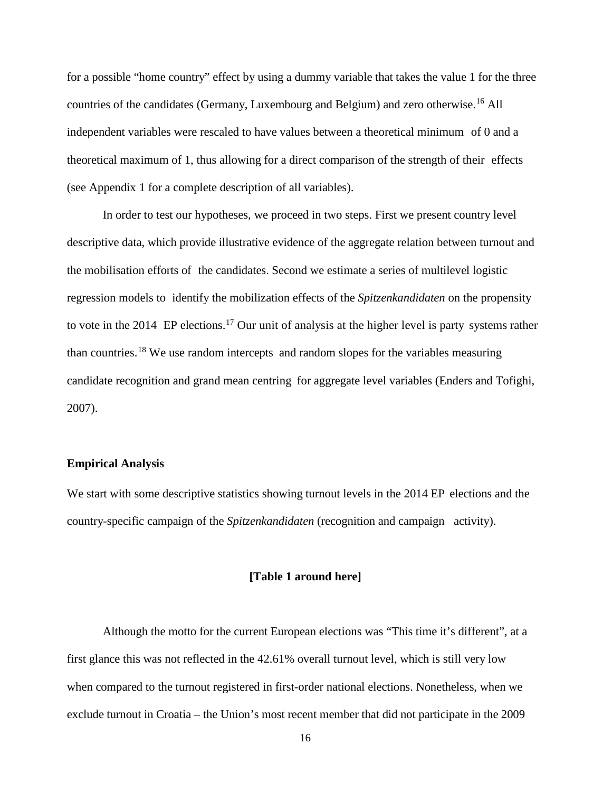for a possible "home country" effect by using a dummy variable that takes the value 1 for the three countries of the candidates (Germany, Luxembourg and Belgium) and zero otherwise. [16](#page-30-2) All independent variables were rescaled to have values between a theoretical minimum of 0 and a theoretical maximum of 1, thus allowing for a direct comparison of the strength of their effects (see Appendix 1 for a complete description of all variables).

In order to test our hypotheses, we proceed in two steps. First we present country level descriptive data, which provide illustrative evidence of the aggregate relation between turnout and the mobilisation efforts of the candidates. Second we estimate a series of multilevel logistic regression models to identify the mobilization effects of the *Spitzenkandidaten* on the propensity to vote in the 2014 EP elections.<sup>[17](#page-30-3)</sup> Our unit of analysis at the higher level is party systems rather than countries.[18](#page-30-4) We use random intercepts and random slopes for the variables measuring candidate recognition and grand mean centring for aggregate level variables (Enders and Tofighi, 2007).

#### **Empirical Analysis**

We start with some descriptive statistics showing turnout levels in the 2014 EP elections and the country-specific campaign of the *Spitzenkandidaten* (recognition and campaign activity).

#### **[Table 1 around here]**

Although the motto for the current European elections was "This time it's different", at a first glance this was not reflected in the 42.61% overall turnout level, which is still very low when compared to the turnout registered in first-order national elections. Nonetheless, when we exclude turnout in Croatia – the Union's most recent member that did not participate in the 2009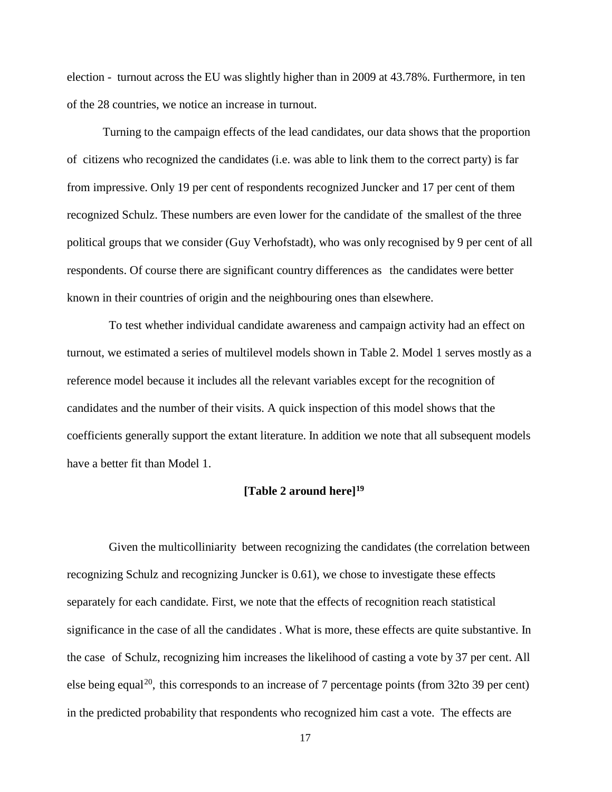election - turnout across the EU was slightly higher than in 2009 at 43.78%. Furthermore, in ten of the 28 countries, we notice an increase in turnout.

Turning to the campaign effects of the lead candidates, our data shows that the proportion of citizens who recognized the candidates (i.e. was able to link them to the correct party) is far from impressive. Only 19 per cent of respondents recognized Juncker and 17 per cent of them recognized Schulz. These numbers are even lower for the candidate of the smallest of the three political groups that we consider (Guy Verhofstadt), who was only recognised by 9 per cent of all respondents. Of course there are significant country differences as the candidates were better known in their countries of origin and the neighbouring ones than elsewhere.

To test whether individual candidate awareness and campaign activity had an effect on turnout, we estimated a series of multilevel models shown in Table 2. Model 1 serves mostly as a reference model because it includes all the relevant variables except for the recognition of candidates and the number of their visits. A quick inspection of this model shows that the coefficients generally support the extant literature. In addition we note that all subsequent models have a better fit than Model 1.

## **[Table 2 around here[\]19](#page-31-0)**

Given the multicolliniarity between recognizing the candidates (the correlation between recognizing Schulz and recognizing Juncker is 0.61), we chose to investigate these effects separately for each candidate. First, we note that the effects of recognition reach statistical significance in the case of all the candidates . What is more, these effects are quite substantive. In the case of Schulz, recognizing him increases the likelihood of casting a vote by 37 per cent. All else being equal<sup>20</sup>, this corresponds to an increase of 7 percentage points (from 32to 39 per cent) in the predicted probability that respondents who recognized him cast a vote. The effects are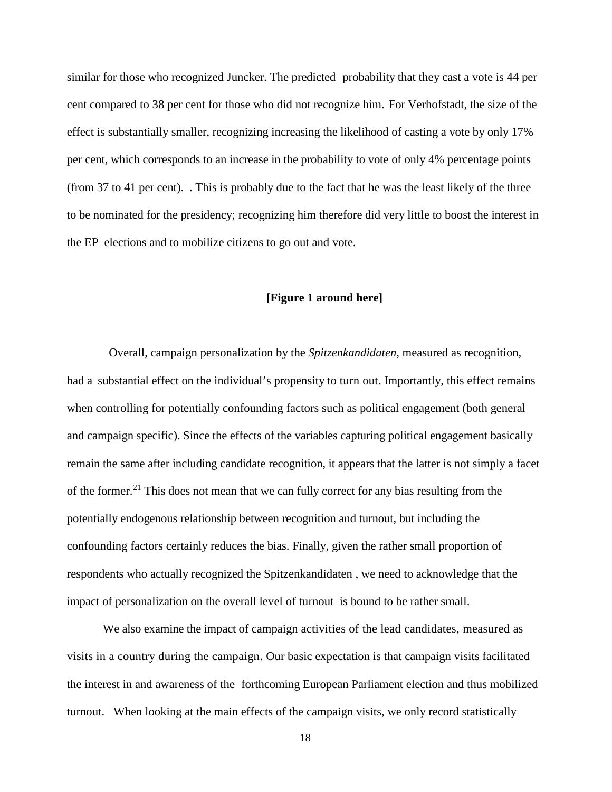similar for those who recognized Juncker. The predicted probability that they cast a vote is 44 per cent compared to 38 per cent for those who did not recognize him. For Verhofstadt, the size of the effect is substantially smaller, recognizing increasing the likelihood of casting a vote by only 17% per cent, which corresponds to an increase in the probability to vote of only 4% percentage points (from 37 to 41 per cent). . This is probably due to the fact that he was the least likely of the three to be nominated for the presidency; recognizing him therefore did very little to boost the interest in the EP elections and to mobilize citizens to go out and vote.

## **[Figure 1 around here]**

Overall, campaign personalization by the *Spitzenkandidaten*, measured as recognition, had a substantial effect on the individual's propensity to turn out. Importantly, this effect remains when controlling for potentially confounding factors such as political engagement (both general and campaign specific). Since the effects of the variables capturing political engagement basically remain the same after including candidate recognition, it appears that the latter is not simply a facet of the former.<sup>[21](#page-31-2)</sup> This does not mean that we can fully correct for any bias resulting from the potentially endogenous relationship between recognition and turnout, but including the confounding factors certainly reduces the bias. Finally, given the rather small proportion of respondents who actually recognized the Spitzenkandidaten , we need to acknowledge that the impact of personalization on the overall level of turnout is bound to be rather small.

We also examine the impact of campaign activities of the lead candidates, measured as visits in a country during the campaign. Our basic expectation is that campaign visits facilitated the interest in and awareness of the forthcoming European Parliament election and thus mobilized turnout. When looking at the main effects of the campaign visits, we only record statistically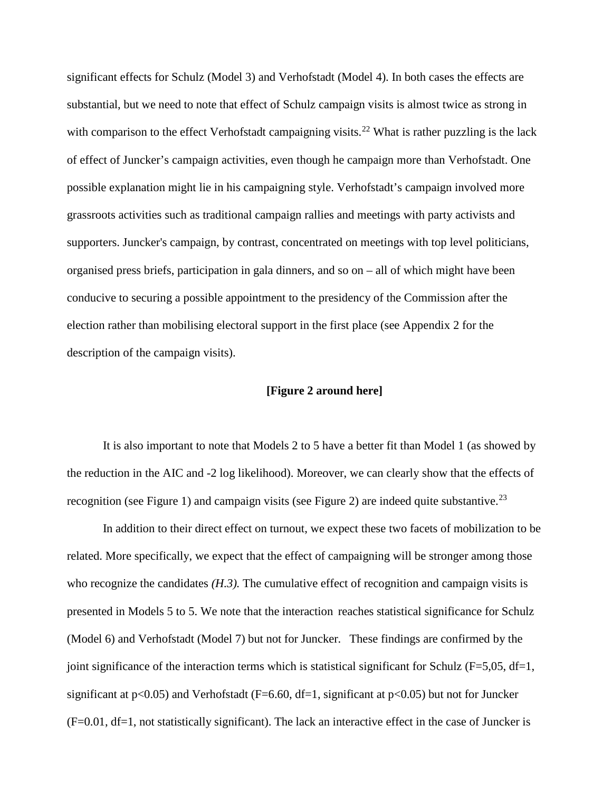significant effects for Schulz (Model 3) and Verhofstadt (Model 4). In both cases the effects are substantial, but we need to note that effect of Schulz campaign visits is almost twice as strong in with comparison to the effect Verhofstadt campaigning visits.<sup>[22](#page-31-3)</sup> What is rather puzzling is the lack of effect of Juncker's campaign activities, even though he campaign more than Verhofstadt. One possible explanation might lie in his campaigning style. Verhofstadt's campaign involved more grassroots activities such as traditional campaign rallies and meetings with party activists and supporters. Juncker's campaign, by contrast, concentrated on meetings with top level politicians, organised press briefs, participation in gala dinners, and so on – all of which might have been conducive to securing a possible appointment to the presidency of the Commission after the election rather than mobilising electoral support in the first place (see Appendix 2 for the description of the campaign visits).

## **[Figure 2 around here]**

It is also important to note that Models 2 to 5 have a better fit than Model 1 (as showed by the reduction in the AIC and -2 log likelihood). Moreover, we can clearly show that the effects of recognition (see Figure 1) and campaign visits (see Figure 2) are indeed quite substantive.<sup>[23](#page-31-4)</sup>

In addition to their direct effect on turnout, we expect these two facets of mobilization to be related. More specifically, we expect that the effect of campaigning will be stronger among those who recognize the candidates *(H.3).* The cumulative effect of recognition and campaign visits is presented in Models 5 to 5. We note that the interaction reaches statistical significance for Schulz (Model 6) and Verhofstadt (Model 7) but not for Juncker. These findings are confirmed by the joint significance of the interaction terms which is statistical significant for Schulz ( $F=5,05$ ,  $df=1$ , significant at  $p<0.05$ ) and Verhofstadt (F=6.60, df=1, significant at  $p<0.05$ ) but not for Juncker (F=0.01, df=1, not statistically significant). The lack an interactive effect in the case of Juncker is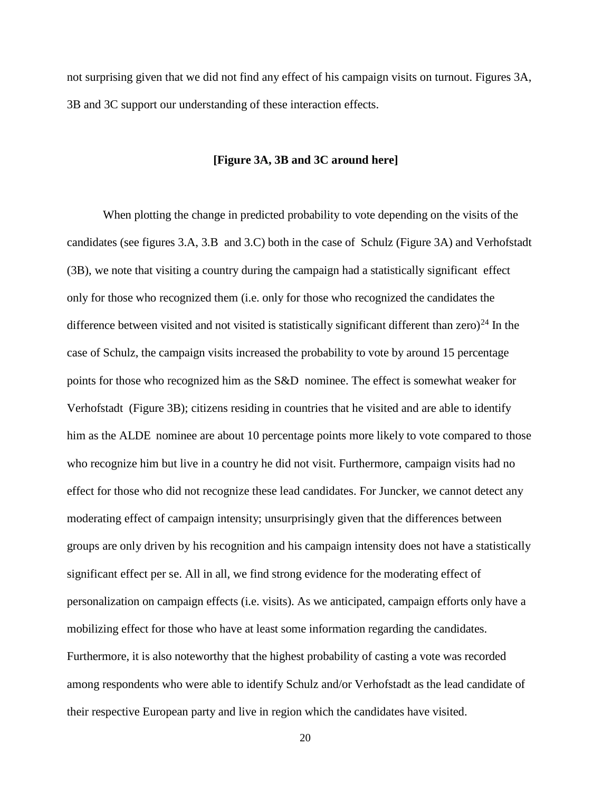not surprising given that we did not find any effect of his campaign visits on turnout. Figures 3A, 3B and 3C support our understanding of these interaction effects.

#### **[Figure 3A, 3B and 3C around here]**

When plotting the change in predicted probability to vote depending on the visits of the candidates (see figures 3.A, 3.B and 3.C) both in the case of Schulz (Figure 3A) and Verhofstadt (3B), we note that visiting a country during the campaign had a statistically significant effect only for those who recognized them (i.e. only for those who recognized the candidates the difference between visited and not visited is statistically significant different than zero)<sup>[24](#page-31-5)</sup> In the case of Schulz, the campaign visits increased the probability to vote by around 15 percentage points for those who recognized him as the S&D nominee. The effect is somewhat weaker for Verhofstadt (Figure 3B); citizens residing in countries that he visited and are able to identify him as the ALDE nominee are about 10 percentage points more likely to vote compared to those who recognize him but live in a country he did not visit. Furthermore, campaign visits had no effect for those who did not recognize these lead candidates. For Juncker, we cannot detect any moderating effect of campaign intensity; unsurprisingly given that the differences between groups are only driven by his recognition and his campaign intensity does not have a statistically significant effect per se. All in all, we find strong evidence for the moderating effect of personalization on campaign effects (i.e. visits). As we anticipated, campaign efforts only have a mobilizing effect for those who have at least some information regarding the candidates. Furthermore, it is also noteworthy that the highest probability of casting a vote was recorded among respondents who were able to identify Schulz and/or Verhofstadt as the lead candidate of their respective European party and live in region which the candidates have visited.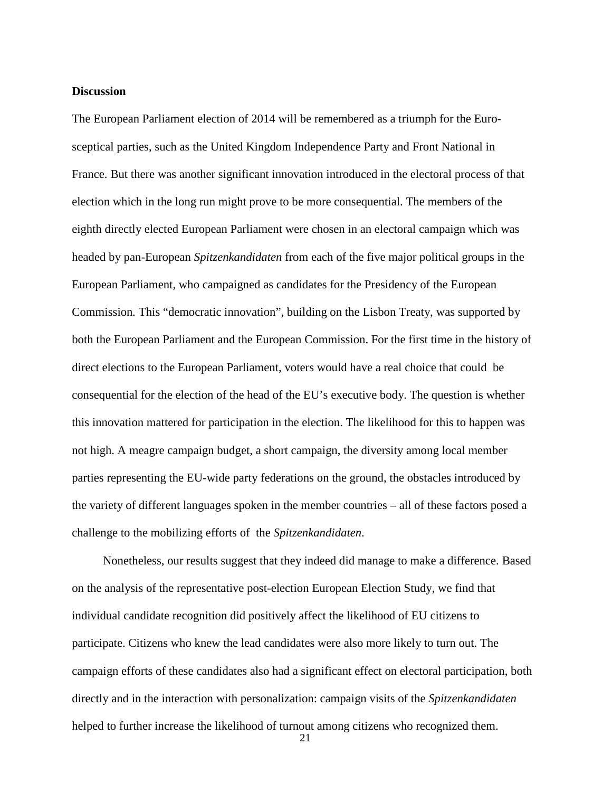#### **Discussion**

The European Parliament election of 2014 will be remembered as a triumph for the Eurosceptical parties, such as the United Kingdom Independence Party and Front National in France. But there was another significant innovation introduced in the electoral process of that election which in the long run might prove to be more consequential. The members of the eighth directly elected European Parliament were chosen in an electoral campaign which was headed by pan-European *Spitzenkandidaten* from each of the five major political groups in the European Parliament*,* who campaigned as candidates for the Presidency of the European Commission*.* This "democratic innovation", building on the Lisbon Treaty, was supported by both the European Parliament and the European Commission. For the first time in the history of direct elections to the European Parliament, voters would have a real choice that could be consequential for the election of the head of the EU's executive body. The question is whether this innovation mattered for participation in the election. The likelihood for this to happen was not high. A meagre campaign budget, a short campaign, the diversity among local member parties representing the EU-wide party federations on the ground, the obstacles introduced by the variety of different languages spoken in the member countries – all of these factors posed a challenge to the mobilizing efforts of the *Spitzenkandidaten*.

Nonetheless, our results suggest that they indeed did manage to make a difference. Based on the analysis of the representative post-election European Election Study, we find that individual candidate recognition did positively affect the likelihood of EU citizens to participate. Citizens who knew the lead candidates were also more likely to turn out. The campaign efforts of these candidates also had a significant effect on electoral participation, both directly and in the interaction with personalization: campaign visits of the *Spitzenkandidaten* helped to further increase the likelihood of turnout among citizens who recognized them.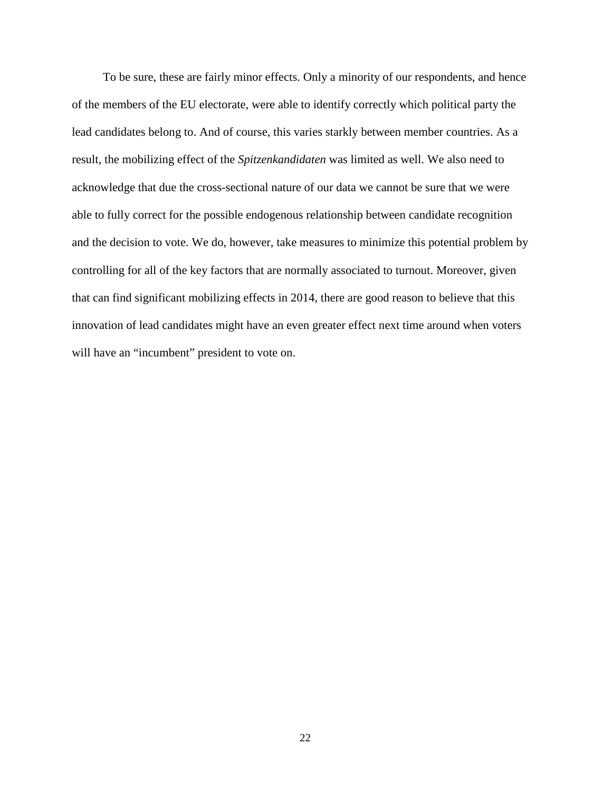To be sure, these are fairly minor effects. Only a minority of our respondents, and hence of the members of the EU electorate, were able to identify correctly which political party the lead candidates belong to. And of course, this varies starkly between member countries. As a result, the mobilizing effect of the *Spitzenkandidaten* was limited as well. We also need to acknowledge that due the cross-sectional nature of our data we cannot be sure that we were able to fully correct for the possible endogenous relationship between candidate recognition and the decision to vote. We do, however, take measures to minimize this potential problem by controlling for all of the key factors that are normally associated to turnout. Moreover, given that can find significant mobilizing effects in 2014, there are good reason to believe that this innovation of lead candidates might have an even greater effect next time around when voters will have an "incumbent" president to vote on.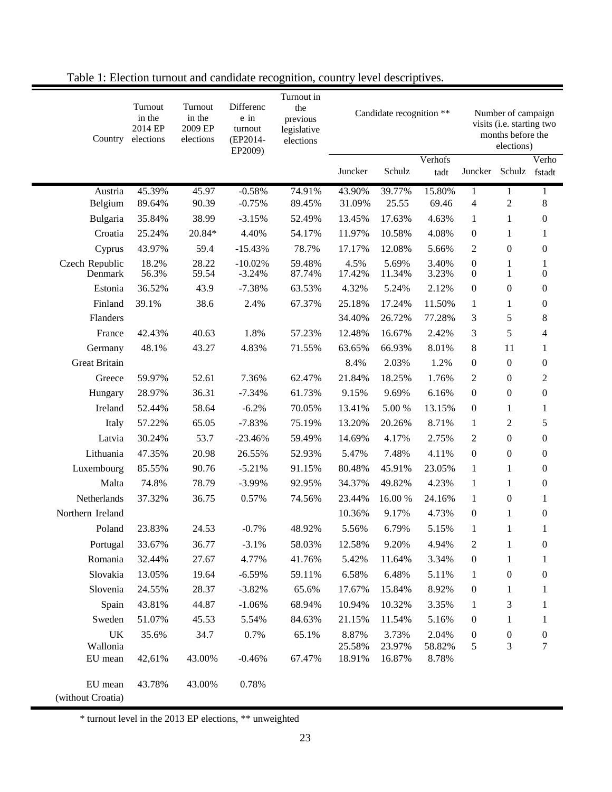| Country                      | Turnout<br>in the<br>2014 EP<br>elections | Turnout<br>in the<br>2009 EP<br>elections | Differenc<br>e in<br>turnout<br>(EP2014-<br>EP2009) | Turnout in<br>the<br>previous<br>legislative<br>elections | Candidate recognition ** |                 |                 | Number of campaign<br>visits (i.e. starting two<br>months before the<br>elections) |                              |                                  |
|------------------------------|-------------------------------------------|-------------------------------------------|-----------------------------------------------------|-----------------------------------------------------------|--------------------------|-----------------|-----------------|------------------------------------------------------------------------------------|------------------------------|----------------------------------|
|                              |                                           |                                           |                                                     |                                                           | Juncker                  | Schulz          | Verhofs<br>tadt | Juncker                                                                            | Schulz                       | Verho<br>fstadt                  |
| Austria                      | 45.39%                                    | 45.97                                     | $-0.58%$                                            | 74.91%                                                    | 43.90%                   | 39.77%          | 15.80%          | 1                                                                                  | 1                            | 1                                |
| Belgium                      | 89.64%                                    | 90.39                                     | $-0.75%$                                            | 89.45%                                                    | 31.09%                   | 25.55           | 69.46           | 4                                                                                  | $\overline{2}$               | 8                                |
| Bulgaria                     | 35.84%                                    | 38.99                                     | $-3.15%$                                            | 52.49%                                                    | 13.45%                   | 17.63%          | 4.63%           | $\mathbf{1}$                                                                       | 1                            | $\boldsymbol{0}$                 |
| Croatia                      | 25.24%                                    | 20.84*                                    | 4.40%                                               | 54.17%                                                    | 11.97%                   | 10.58%          | 4.08%           | 0                                                                                  | 1                            | 1                                |
| Cyprus                       | 43.97%                                    | 59.4                                      | $-15.43%$                                           | 78.7%                                                     | 17.17%                   | 12.08%          | 5.66%           | 2                                                                                  | $\boldsymbol{0}$             | $\boldsymbol{0}$                 |
| Czech Republic<br>Denmark    | 18.2%<br>56.3%                            | 28.22<br>59.54                            | $-10.02%$<br>$-3.24%$                               | 59.48%<br>87.74%                                          | 4.5%<br>17.42%           | 5.69%<br>11.34% | 3.40%<br>3.23%  | $\boldsymbol{0}$<br>0                                                              | $\mathbf{1}$<br>$\mathbf{1}$ | $\mathbf{1}$<br>$\boldsymbol{0}$ |
| Estonia                      | 36.52%                                    | 43.9                                      | $-7.38%$                                            | 63.53%                                                    | 4.32%                    | 5.24%           | 2.12%           | $\boldsymbol{0}$                                                                   | $\boldsymbol{0}$             | $\boldsymbol{0}$                 |
| Finland                      | 39.1%                                     | 38.6                                      | 2.4%                                                | 67.37%                                                    | 25.18%                   | 17.24%          | 11.50%          | $\mathbf{1}$                                                                       | 1                            | $\boldsymbol{0}$                 |
| Flanders                     |                                           |                                           |                                                     |                                                           | 34.40%                   | 26.72%          | 77.28%          | 3                                                                                  | 5                            | 8                                |
| France                       | 42.43%                                    | 40.63                                     | 1.8%                                                | 57.23%                                                    | 12.48%                   | 16.67%          | 2.42%           | 3                                                                                  | 5                            | 4                                |
| Germany                      | 48.1%                                     | 43.27                                     | 4.83%                                               | 71.55%                                                    | 63.65%                   | 66.93%          | 8.01%           | 8                                                                                  | 11                           | $\mathbf{1}$                     |
| <b>Great Britain</b>         |                                           |                                           |                                                     |                                                           | 8.4%                     | 2.03%           | 1.2%            | 0                                                                                  | $\overline{0}$               | $\mathbf{0}$                     |
| Greece                       | 59.97%                                    | 52.61                                     | 7.36%                                               | 62.47%                                                    | 21.84%                   | 18.25%          | 1.76%           | $\overline{c}$                                                                     | $\boldsymbol{0}$             | $\boldsymbol{2}$                 |
| Hungary                      | 28.97%                                    | 36.31                                     | $-7.34%$                                            | 61.73%                                                    | 9.15%                    | 9.69%           | 6.16%           | 0                                                                                  | $\boldsymbol{0}$             | $\boldsymbol{0}$                 |
| Ireland                      | 52.44%                                    | 58.64                                     | $-6.2%$                                             | 70.05%                                                    | 13.41%                   | 5.00 %          | 13.15%          | $\boldsymbol{0}$                                                                   | $\mathbf{1}$                 | $\mathbf{1}$                     |
| Italy                        | 57.22%                                    | 65.05                                     | $-7.83%$                                            | 75.19%                                                    | 13.20%                   | 20.26%          | 8.71%           | $\mathbf{1}$                                                                       | $\overline{c}$               | $\sqrt{5}$                       |
| Latvia                       | 30.24%                                    | 53.7                                      | $-23.46%$                                           | 59.49%                                                    | 14.69%                   | 4.17%           | 2.75%           | $\overline{c}$                                                                     | $\boldsymbol{0}$             | $\boldsymbol{0}$                 |
| Lithuania                    | 47.35%                                    | 20.98                                     | 26.55%                                              | 52.93%                                                    | 5.47%                    | 7.48%           | 4.11%           | 0                                                                                  | $\boldsymbol{0}$             | $\mathbf{0}$                     |
| Luxembourg                   | 85.55%                                    | 90.76                                     | $-5.21%$                                            | 91.15%                                                    | 80.48%                   | 45.91%          | 23.05%          | $\mathbf{1}$                                                                       | $\mathbf{1}$                 | $\boldsymbol{0}$                 |
| Malta                        | 74.8%                                     | 78.79                                     | $-3.99%$                                            | 92.95%                                                    | 34.37%                   | 49.82%          | 4.23%           | $\mathbf{1}$                                                                       | 1                            | $\boldsymbol{0}$                 |
| Netherlands                  | 37.32%                                    | 36.75                                     | 0.57%                                               | 74.56%                                                    | 23.44%                   | 16.00 %         | 24.16%          | $\mathbf{1}$                                                                       | $\boldsymbol{0}$             | $\mathbf{1}$                     |
| Northern Ireland             |                                           |                                           |                                                     |                                                           | 10.36%                   | 9.17%           | 4.73%           | 0                                                                                  | $\mathbf{1}$                 | $\boldsymbol{0}$                 |
| Poland                       | 23.83%                                    | 24.53                                     | $-0.7%$                                             | 48.92%                                                    | 5.56%                    | 6.79%           | 5.15%           | 1                                                                                  | $\mathbf{1}$                 | 1                                |
| Portugal                     | 33.67%                                    | 36.77                                     | $-3.1%$                                             | 58.03%                                                    | 12.58%                   | 9.20%           | 4.94%           | $\overline{\mathbf{c}}$                                                            | 1                            | $\boldsymbol{0}$                 |
| Romania                      | 32.44%                                    | 27.67                                     | 4.77%                                               | 41.76%                                                    | 5.42%                    | 11.64%          | 3.34%           | $\boldsymbol{0}$                                                                   | $\mathbf{1}$                 | 1                                |
| Slovakia                     | 13.05%                                    | 19.64                                     | $-6.59%$                                            | 59.11%                                                    | 6.58%                    | 6.48%           | 5.11%           | 1                                                                                  | $\boldsymbol{0}$             | $\boldsymbol{0}$                 |
| Slovenia                     | 24.55%                                    | 28.37                                     | $-3.82%$                                            | 65.6%                                                     | 17.67%                   | 15.84%          | 8.92%           | $\boldsymbol{0}$                                                                   | $\mathbf{1}$                 | 1                                |
| Spain                        | 43.81%                                    | 44.87                                     | $-1.06%$                                            | 68.94%                                                    | 10.94%                   | 10.32%          | 3.35%           | $\mathbf{1}$                                                                       | 3                            | 1                                |
| Sweden                       | 51.07%                                    | 45.53                                     | 5.54%                                               | 84.63%                                                    | 21.15%                   | 11.54%          | 5.16%           | 0                                                                                  | $\mathbf{1}$                 | 1                                |
| UK<br>Wallonia               | 35.6%                                     | 34.7                                      | 0.7%                                                | 65.1%                                                     | 8.87%<br>25.58%          | 3.73%<br>23.97% | 2.04%<br>58.82% | $\boldsymbol{0}$<br>5                                                              | $\boldsymbol{0}$<br>3        | $\boldsymbol{0}$<br>$\tau$       |
| EU mean                      | 42,61%                                    | 43.00%                                    | $-0.46%$                                            | 67.47%                                                    | 18.91%                   | 16.87%          | 8.78%           |                                                                                    |                              |                                  |
| EU mean<br>(without Croatia) | 43.78%                                    | 43.00%                                    | 0.78%                                               |                                                           |                          |                 |                 |                                                                                    |                              |                                  |

Table 1: Election turnout and candidate recognition, country level descriptives.

\* turnout level in the 2013 EP elections, \*\* unweighted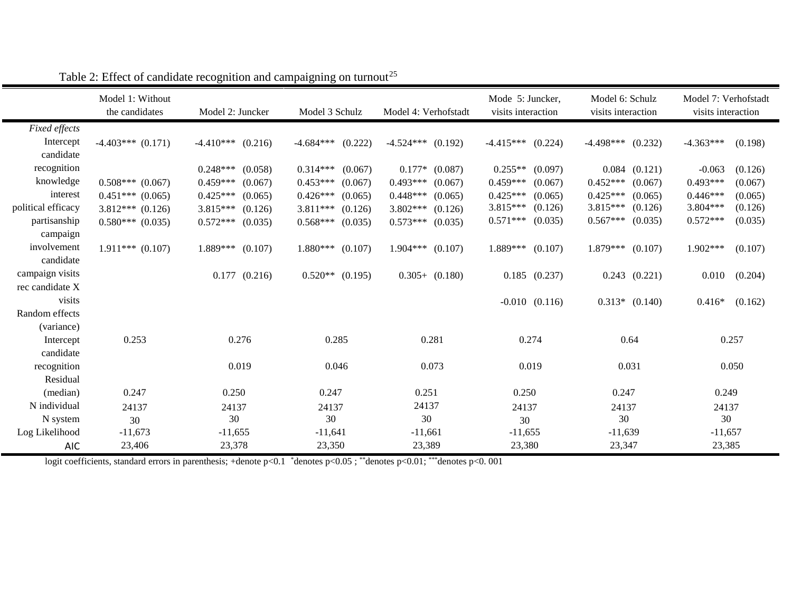|                    | Model 1: Without<br>the candidates | Model 2: Juncker       | Model 3 Schulz         | Model 4: Verhofstadt  | Mode 5: Juncker,<br>visits interaction | Model 6: Schulz<br>visits interaction | Model 7: Verhofstadt<br>visits interaction |
|--------------------|------------------------------------|------------------------|------------------------|-----------------------|----------------------------------------|---------------------------------------|--------------------------------------------|
| Fixed effects      |                                    |                        |                        |                       |                                        |                                       |                                            |
| Intercept          | $-4.403***$ (0.171)                | $-4.410***$<br>(0.216) | $-4.684***$<br>(0.222) | $-4.524***$ (0.192)   | $-4.415***$<br>(0.224)                 | $-4.498***$<br>(0.232)                | $-4.363***$<br>(0.198)                     |
| candidate          |                                    |                        |                        |                       |                                        |                                       |                                            |
| recognition        |                                    | $0.248***$<br>(0.058)  | $0.314***$<br>(0.067)  | $0.177*$ $(0.087)$    | $0.255**$<br>(0.097)                   | (0.121)<br>0.084                      | $-0.063$<br>(0.126)                        |
| knowledge          | $0.508***$ (0.067)                 | $0.459***$<br>(0.067)  | $0.453***$<br>(0.067)  | $0.493***$<br>(0.067) | $0.459***$<br>(0.067)                  | $0.452***$<br>(0.067)                 | $0.493***$<br>(0.067)                      |
| interest           | $0.451***$ $(0.065)$               | $0.425***$<br>(0.065)  | $0.426***$<br>(0.065)  | $0.448***$<br>(0.065) | $0.425***$<br>(0.065)                  | $0.425***$<br>(0.065)                 | $0.446***$<br>(0.065)                      |
| political efficacy | $3.812***$ (0.126)                 | $3.815***$<br>(0.126)  | $3.811***$<br>(0.126)  | 3.802***<br>(0.126)   | 3.815***<br>(0.126)                    | 3.815***<br>(0.126)                   | 3.804***<br>(0.126)                        |
| partisanship       | $0.580***$ $(0.035)$               | $0.572***$<br>(0.035)  | $0.568***$<br>(0.035)  | $0.573***$<br>(0.035) | $0.571***$<br>(0.035)                  | $0.567***$<br>(0.035)                 | $0.572***$<br>(0.035)                      |
| campaign           |                                    |                        |                        |                       |                                        |                                       |                                            |
| involvement        | $1.911***$ (0.107)                 | $1.889***$<br>(0.107)  | $1.880***$<br>(0.107)  | $1.904***$ (0.107)    | 1.889***<br>(0.107)                    | $1.879***$<br>(0.107)                 | 1.902***<br>(0.107)                        |
| candidate          |                                    |                        |                        |                       |                                        |                                       |                                            |
| campaign visits    |                                    | $0.177$ $(0.216)$      | $0.520**$ (0.195)      | $0.305+ (0.180)$      | $0.185$ $(0.237)$                      | $0.243$ $(0.221)$                     | 0.010<br>(0.204)                           |
| rec candidate X    |                                    |                        |                        |                       |                                        |                                       |                                            |
| visits             |                                    |                        |                        |                       | $-0.010$ $(0.116)$                     | $0.313*$ $(0.140)$                    | $0.416*$<br>(0.162)                        |
| Random effects     |                                    |                        |                        |                       |                                        |                                       |                                            |
| (variance)         |                                    |                        |                        |                       |                                        |                                       |                                            |
| Intercept          | 0.253                              | 0.276                  | 0.285                  | 0.281                 | 0.274                                  | 0.64                                  | 0.257                                      |
| candidate          |                                    |                        |                        |                       |                                        |                                       |                                            |
| recognition        |                                    | 0.019                  | 0.046                  | 0.073                 | 0.019                                  | 0.031                                 | 0.050                                      |
| Residual           |                                    |                        |                        |                       |                                        |                                       |                                            |
| (median)           | 0.247                              | 0.250                  | 0.247                  | 0.251                 | 0.250                                  | 0.247                                 | 0.249                                      |
| N individual       | 24137                              | 24137                  | 24137                  | 24137                 | 24137                                  | 24137                                 | 24137                                      |
| N system           | 30                                 | 30                     | 30                     | 30                    | 30                                     | 30                                    | 30                                         |
| Log Likelihood     | $-11,673$                          | $-11,655$              | $-11,641$              | $-11,661$             | $-11,655$                              | $-11,639$                             | $-11,657$                                  |
| <b>AIC</b>         | 23,406                             | 23,378                 | 23,350                 | 23,389                | 23,380                                 | 23,347                                | 23,385                                     |

|  | Table 2: Effect of candidate recognition and campaigning on turnout <sup>25</sup> |  |  |
|--|-----------------------------------------------------------------------------------|--|--|
|  |                                                                                   |  |  |
|  |                                                                                   |  |  |
|  |                                                                                   |  |  |
|  |                                                                                   |  |  |

logit coefficients, standard errors in parenthesis; +denote p<0.1 \*denotes p<0.05; \*\*denotes p<0.01; \*\*\*denotes p<0.001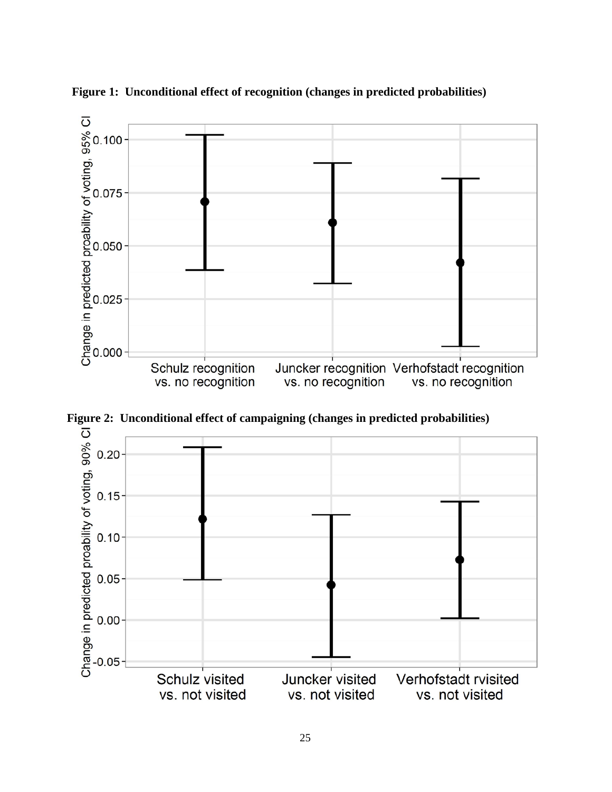

**Figure 1: Unconditional effect of recognition (changes in predicted probabilities)**

**Figure 2: Unconditional effect of campaigning (changes in predicted probabilities)**

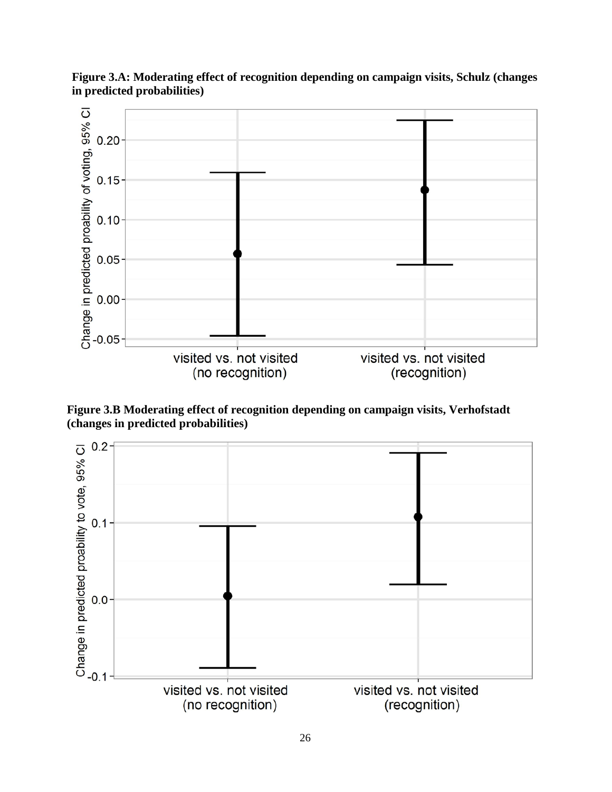

**Figure 3.A: Moderating effect of recognition depending on campaign visits, Schulz (changes in predicted probabilities)** 

**Figure 3.B Moderating effect of recognition depending on campaign visits, Verhofstadt (changes in predicted probabilities)**

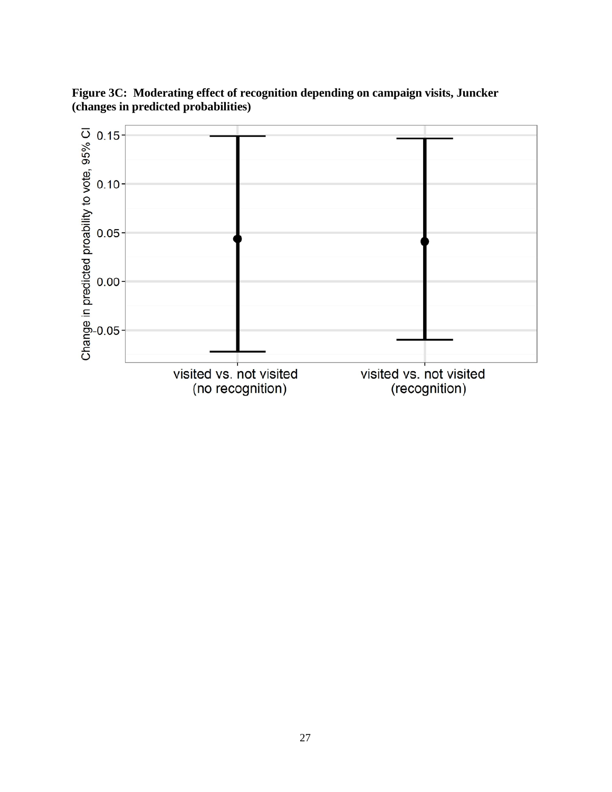

**Figure 3C: Moderating effect of recognition depending on campaign visits, Juncker (changes in predicted probabilities)**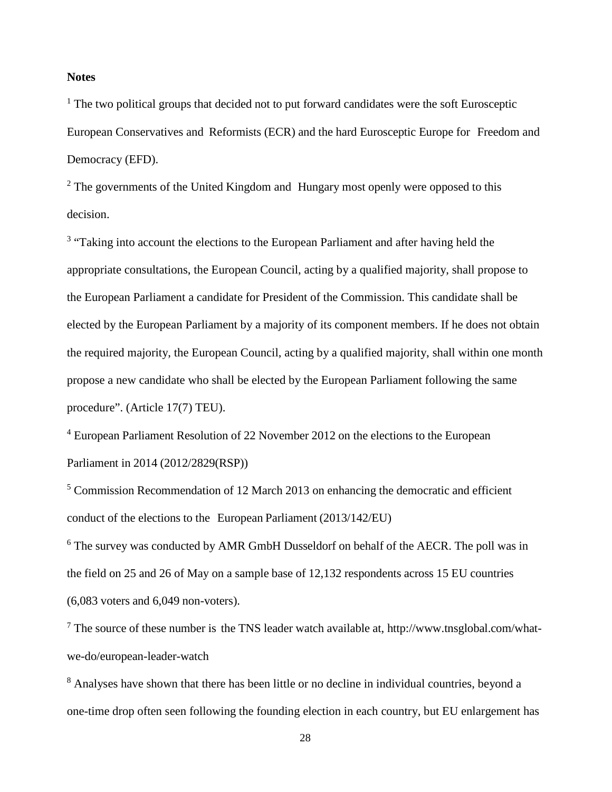### **Notes**

 $<sup>1</sup>$  The two political groups that decided not to put forward candidates were the soft Eurosceptic</sup> European Conservatives and Reformists (ECR) and the hard Eurosceptic Europe for Freedom and Democracy (EFD).

 $2$  The governments of the United Kingdom and Hungary most openly were opposed to this decision.

<sup>3</sup> "Taking into account the elections to the European Parliament and after having held the appropriate consultations, the European Council, acting by a qualified majority, shall propose to the European Parliament a candidate for President of the Commission. This candidate shall be elected by the European Parliament by a majority of its component members. If he does not obtain the required majority, the European Council, acting by a qualified majority, shall within one month propose a new candidate who shall be elected by the European Parliament following the same procedure". (Article 17(7) TEU).

<sup>4</sup> European Parliament Resolution of 22 November 2012 on the elections to the European Parliament in 2014 (2012/2829(RSP))

<sup>5</sup> Commission Recommendation of 12 March 2013 on enhancing the democratic and efficient conduct of the elections to the European Parliament (2013/142/EU)

<sup>6</sup> The survey was conducted by AMR GmbH Dusseldorf on behalf of the AECR. The poll was in the field on 25 and 26 of May on a sample base of 12,132 respondents across 15 EU countries (6,083 voters and 6,049 non-voters).

 $<sup>7</sup>$  The source of these number is the TNS leader watch available at, http://www.tnsglobal.com/what-</sup> [we-do/european-leader-](http://www.tnsglobal.com/what-we-do/european-leader-)watch

<sup>8</sup> Analyses have shown that there has been little or no decline in individual countries, beyond a one-time drop often seen following the founding election in each country, but EU enlargement has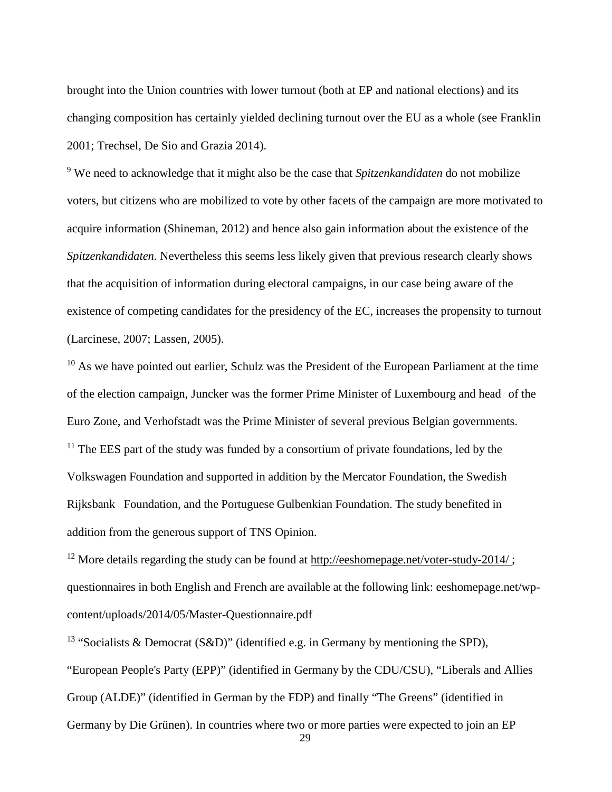<span id="page-28-0"></span>brought into the Union countries with lower turnout (both at EP and national elections) and its changing composition has certainly yielded declining turnout over the EU as a whole (see Franklin 2001; Trechsel, De Sio and Grazia 2014).

<span id="page-28-2"></span><span id="page-28-1"></span><sup>9</sup> We need to acknowledge that it might also be the case that *Spitzenkandidaten* do not mobilize voters, but citizens who are mobilized to vote by other facets of the campaign are more motivated to acquire information (Shineman, 2012) and hence also gain information about the existence of the *Spitzenkandidaten.* Nevertheless this seems less likely given that previous research clearly shows that the acquisition of information during electoral campaigns, in our case being aware of the existence of competing candidates for the presidency of the EC, increases the propensity to turnout (Larcinese, 2007; Lassen, 2005).

<span id="page-28-3"></span><sup>10</sup> As we have pointed out earlier, Schulz was the President of the European Parliament at the time of the election campaign, Juncker was the former Prime Minister of Luxembourg and head of the Euro Zone, and Verhofstadt was the Prime Minister of several previous Belgian governments. <sup>11</sup> The EES part of the study was funded by a consortium of private foundations, led by the Volkswagen Foundation and supported in addition by the Mercator Foundation, the Swedish Rijksbank Foundation, and the Portuguese Gulbenkian Foundation. The study benefited in addition from the generous support of TNS Opinion.

<span id="page-28-5"></span><span id="page-28-4"></span><sup>12</sup> More details regarding the study can be found at <http://eeshomepage.net/voter-study-2014/>; questionnaires in both English and French are available at the following link: eeshomepage.net/wpcontent/uploads/2014/05/Master-Questionnaire.pdf

<span id="page-28-7"></span><span id="page-28-6"></span><sup>13</sup> "Socialists & Democrat (S&D)" (identified e.g. in Germany by mentioning the SPD), "European People's Party (EPP)" (identified in Germany by the CDU/CSU), "Liberals and Allies Group (ALDE)" (identified in German by the FDP) and finally "The Greens" (identified in Germany by Die Grünen). In countries where two or more parties were expected to join an EP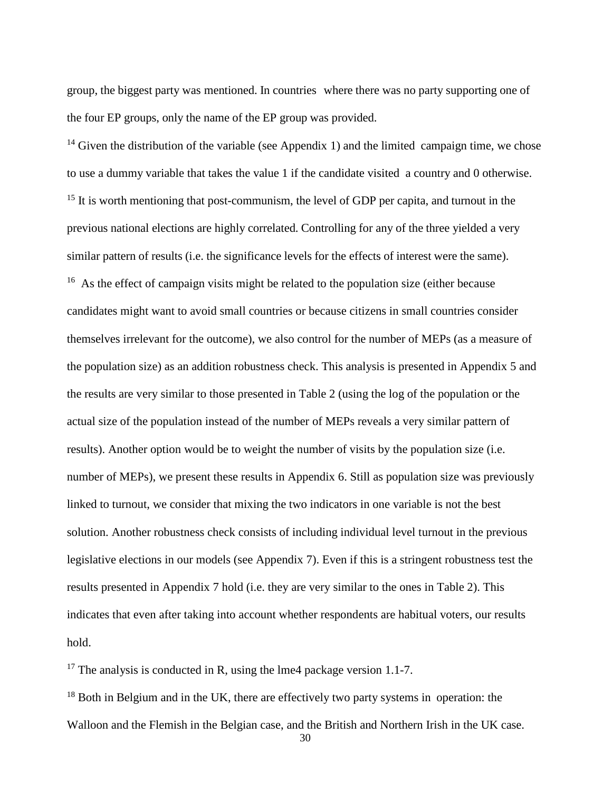group, the biggest party was mentioned. In countries where there was no party supporting one of the four EP groups, only the name of the EP group was provided.

<span id="page-29-1"></span><span id="page-29-0"></span><sup>14</sup> Given the distribution of the variable (see Appendix 1) and the limited campaign time, we chose to use a dummy variable that takes the value 1 if the candidate visited a country and 0 otherwise. <sup>15</sup> It is worth mentioning that post-communism, the level of GDP per capita, and turnout in the previous national elections are highly correlated. Controlling for any of the three yielded a very similar pattern of results (i.e. the significance levels for the effects of interest were the same). <sup>16</sup> As the effect of campaign visits might be related to the population size (either because candidates might want to avoid small countries or because citizens in small countries consider themselves irrelevant for the outcome), we also control for the number of MEPs (as a measure of the population size) as an addition robustness check. This analysis is presented in Appendix 5 and the results are very similar to those presented in Table 2 (using the log of the population or the actual size of the population instead of the number of MEPs reveals a very similar pattern of results). Another option would be to weight the number of visits by the population size (i.e. number of MEPs), we present these results in Appendix 6. Still as population size was previously linked to turnout, we consider that mixing the two indicators in one variable is not the best solution. Another robustness check consists of including individual level turnout in the previous legislative elections in our models (see Appendix 7). Even if this is a stringent robustness test the results presented in Appendix 7 hold (i.e. they are very similar to the ones in Table 2). This indicates that even after taking into account whether respondents are habitual voters, our results hold.

<span id="page-29-4"></span><span id="page-29-3"></span><span id="page-29-2"></span><sup>17</sup> The analysis is conducted in R, using the lme4 package version 1.1-7.

<sup>18</sup> Both in Belgium and in the UK, there are effectively two party systems in operation: the Walloon and the Flemish in the Belgian case, and the British and Northern Irish in the UK case.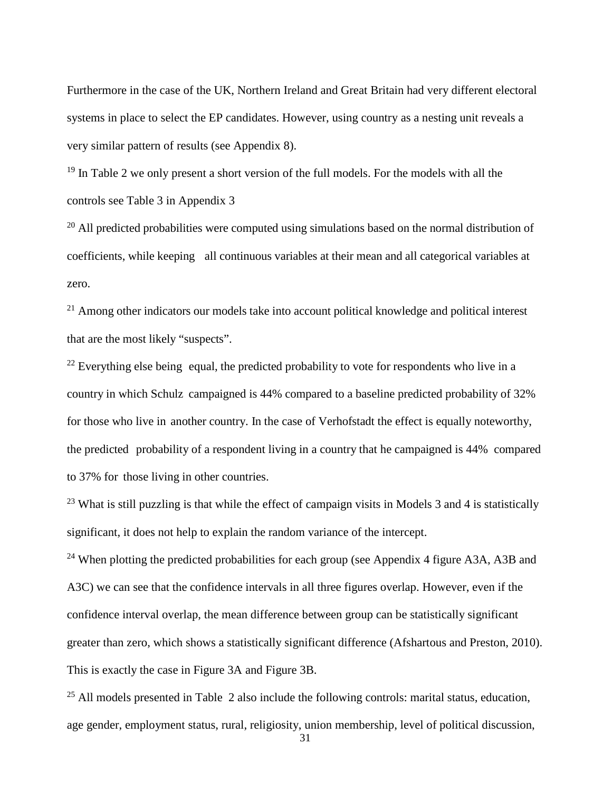Furthermore in the case of the UK, Northern Ireland and Great Britain had very different electoral systems in place to select the EP candidates. However, using country as a nesting unit reveals a very similar pattern of results (see Appendix 8).

<span id="page-30-0"></span> $19$  In Table 2 we only present a short version of the full models. For the models with all the controls see Table 3 in Appendix 3

<span id="page-30-1"></span> $20$  All predicted probabilities were computed using simulations based on the normal distribution of coefficients, while keeping all continuous variables at their mean and all categorical variables at zero.

<span id="page-30-2"></span> $21$  Among other indicators our models take into account political knowledge and political interest that are the most likely "suspects".

 $^{22}$  Everything else being equal, the predicted probability to vote for respondents who live in a country in which Schulz campaigned is 44% compared to a baseline predicted probability of 32% for those who live in another country. In the case of Verhofstadt the effect is equally noteworthy, the predicted probability of a respondent living in a country that he campaigned is 44% compared to 37% for those living in other countries.

 $^{23}$  What is still puzzling is that while the effect of campaign visits in Models 3 and 4 is statistically significant, it does not help to explain the random variance of the intercept.

<sup>24</sup> When plotting the predicted probabilities for each group (see Appendix 4 figure A3A, A3B and A3C) we can see that the confidence intervals in all three figures overlap. However, even if the confidence interval overlap, the mean difference between group can be statistically significant greater than zero, which shows a statistically significant difference (Afshartous and Preston, 2010). This is exactly the case in Figure 3A and Figure 3B.

<span id="page-30-4"></span><span id="page-30-3"></span> $^{25}$  All models presented in Table 2 also include the following controls: marital status, education, age gender, employment status, rural, religiosity, union membership, level of political discussion,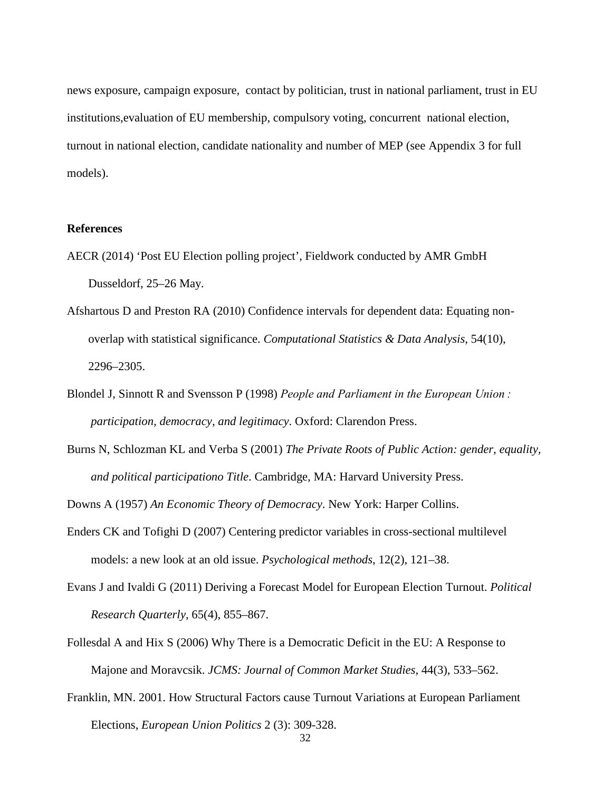<span id="page-31-6"></span>news exposure, campaign exposure, contact by politician, trust in national parliament, trust in EU institutions,evaluation of EU membership, compulsory voting, concurrent national election, turnout in national election, candidate nationality and number of MEP (see Appendix 3 for full models).

#### <span id="page-31-1"></span><span id="page-31-0"></span>**References**

- AECR (2014) 'Post EU Election polling project', Fieldwork conducted by AMR GmbH Dusseldorf, 25–26 May.
- <span id="page-31-2"></span>Afshartous D and Preston RA (2010) Confidence intervals for dependent data: Equating nonoverlap with statistical significance. *Computational Statistics & Data Analysis*, 54(10), 2296–2305.
- <span id="page-31-3"></span>Blondel J, Sinnott R and Svensson P (1998) *People and Parliament in the European Union : participation, democracy, and legitimacy*. Oxford: Clarendon Press.
- Burns N, Schlozman KL and Verba S (2001) *The Private Roots of Public Action: gender, equality, and political participationo Title*. Cambridge, MA: Harvard University Press.

<span id="page-31-4"></span>Downs A (1957) *An Economic Theory of Democracy*. New York: Harper Collins.

- <span id="page-31-5"></span>Enders CK and Tofighi D (2007) Centering predictor variables in cross-sectional multilevel models: a new look at an old issue. *Psychological methods*, 12(2), 121–38.
- Evans J and Ivaldi G (2011) Deriving a Forecast Model for European Election Turnout. *Political Research Quarterly*, 65(4), 855–867.
- Follesdal A and Hix S (2006) Why There is a Democratic Deficit in the EU: A Response to Majone and Moravcsik. *JCMS: Journal of Common Market Studies*, 44(3), 533–562.
- Franklin, MN. 2001. How Structural Factors cause Turnout Variations at European Parliament Elections, *European Union Politics* 2 (3): 309-328.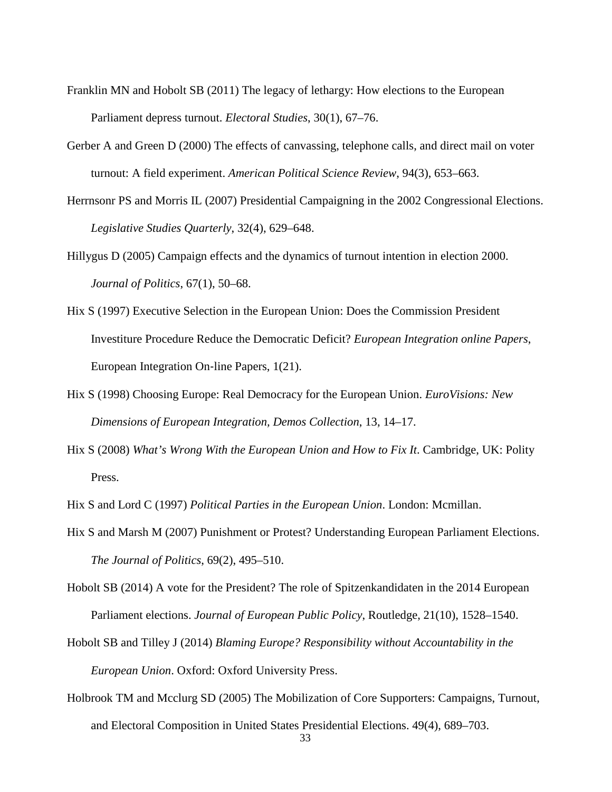- Franklin MN and Hobolt SB (2011) The legacy of lethargy: How elections to the European Parliament depress turnout. *Electoral Studies*, 30(1), 67–76.
- Gerber A and Green D (2000) The effects of canvassing, telephone calls, and direct mail on voter turnout: A field experiment. *American Political Science Review*, 94(3), 653–663.
- Herrnsonr PS and Morris IL (2007) Presidential Campaigning in the 2002 Congressional Elections. *Legislative Studies Quarterly*, 32(4), 629–648.
- Hillygus D (2005) Campaign effects and the dynamics of turnout intention in election 2000. *Journal of Politics*, 67(1), 50–68.
- Hix S (1997) Executive Selection in the European Union: Does the Commission President Investiture Procedure Reduce the Democratic Deficit? *European Integration online Papers*, European Integration On‐line Papers, 1(21).
- Hix S (1998) Choosing Europe: Real Democracy for the European Union. *EuroVisions: New Dimensions of European Integration, Demos Collection*, 13, 14–17.
- Hix S (2008) *What's Wrong With the European Union and How to Fix It*. Cambridge, UK: Polity Press.
- Hix S and Lord C (1997) *Political Parties in the European Union*. London: Mcmillan.
- Hix S and Marsh M (2007) Punishment or Protest? Understanding European Parliament Elections. *The Journal of Politics*, 69(2), 495–510.
- Hobolt SB (2014) A vote for the President? The role of Spitzenkandidaten in the 2014 European Parliament elections. *Journal of European Public Policy*, Routledge, 21(10), 1528–1540.
- Hobolt SB and Tilley J (2014) *Blaming Europe? Responsibility without Accountability in the European Union*. Oxford: Oxford University Press.
- Holbrook TM and Mcclurg SD (2005) The Mobilization of Core Supporters: Campaigns, Turnout, and Electoral Composition in United States Presidential Elections. 49(4), 689–703.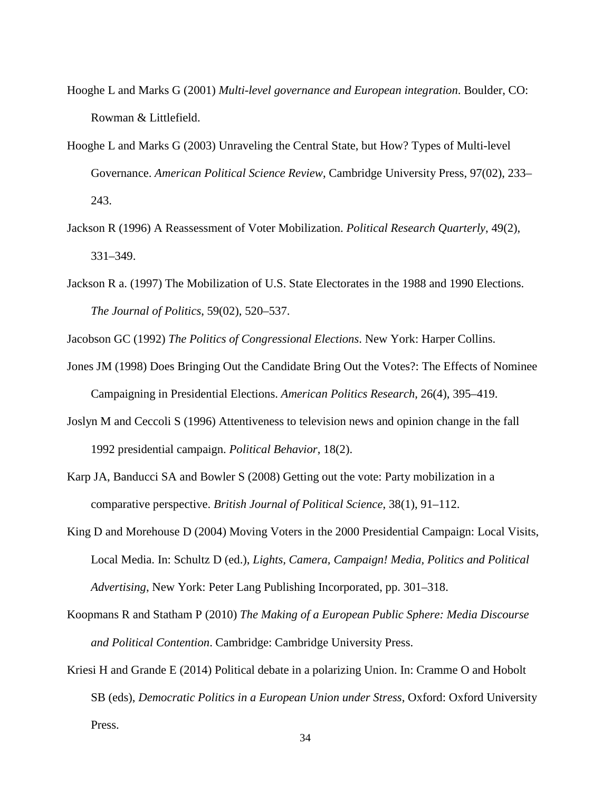- Hooghe L and Marks G (2001) *Multi-level governance and European integration*. Boulder, CO: Rowman & Littlefield.
- Hooghe L and Marks G (2003) Unraveling the Central State, but How? Types of Multi-level Governance. *American Political Science Review*, Cambridge University Press, 97(02), 233– 243.
- Jackson R (1996) A Reassessment of Voter Mobilization. *Political Research Quarterly*, 49(2), 331–349.
- Jackson R a. (1997) The Mobilization of U.S. State Electorates in the 1988 and 1990 Elections. *The Journal of Politics*, 59(02), 520–537.

Jacobson GC (1992) *The Politics of Congressional Elections*. New York: Harper Collins.

- Jones JM (1998) Does Bringing Out the Candidate Bring Out the Votes?: The Effects of Nominee Campaigning in Presidential Elections. *American Politics Research*, 26(4), 395–419.
- Joslyn M and Ceccoli S (1996) Attentiveness to television news and opinion change in the fall 1992 presidential campaign. *Political Behavior*, 18(2).
- Karp JA, Banducci SA and Bowler S (2008) Getting out the vote: Party mobilization in a comparative perspective. *British Journal of Political Science*, 38(1), 91–112.
- King D and Morehouse D (2004) Moving Voters in the 2000 Presidential Campaign: Local Visits, Local Media. In: Schultz D (ed.), *Lights, Camera, Campaign! Media, Politics and Political Advertising*, New York: Peter Lang Publishing Incorporated, pp. 301–318.
- Koopmans R and Statham P (2010) *The Making of a European Public Sphere: Media Discourse and Political Contention*. Cambridge: Cambridge University Press.
- Kriesi H and Grande E (2014) Political debate in a polarizing Union. In: Cramme O and Hobolt SB (eds), *Democratic Politics in a European Union under Stress*, Oxford: Oxford University Press.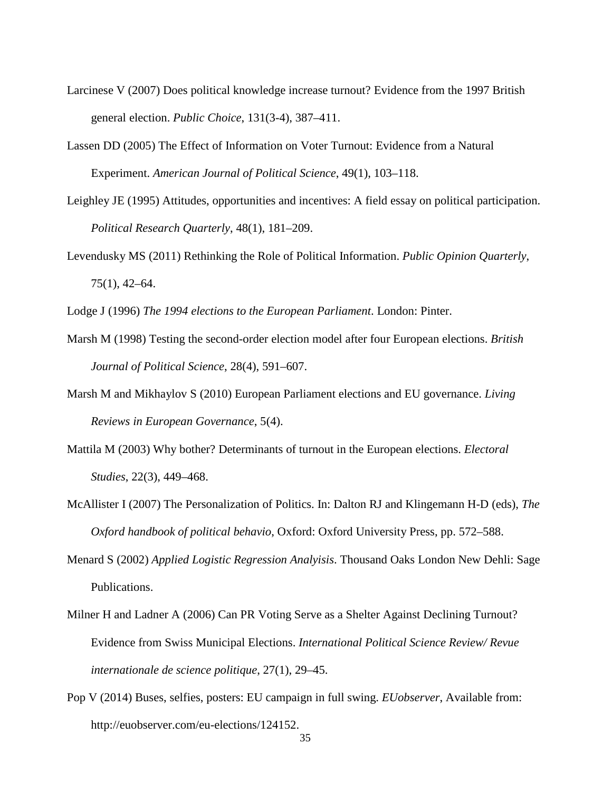- Larcinese V (2007) Does political knowledge increase turnout? Evidence from the 1997 British general election. *Public Choice*, 131(3-4), 387–411.
- Lassen DD (2005) The Effect of Information on Voter Turnout: Evidence from a Natural Experiment. *American Journal of Political Science*, 49(1), 103–118.
- Leighley JE (1995) Attitudes, opportunities and incentives: A field essay on political participation. *Political Research Quarterly*, 48(1), 181–209.
- Levendusky MS (2011) Rethinking the Role of Political Information. *Public Opinion Quarterly*, 75(1), 42–64.

Lodge J (1996) *The 1994 elections to the European Parliament*. London: Pinter.

- Marsh M (1998) Testing the second-order election model after four European elections. *British Journal of Political Science*, 28(4), 591–607.
- Marsh M and Mikhaylov S (2010) European Parliament elections and EU governance. *Living Reviews in European Governance*, 5(4).
- Mattila M (2003) Why bother? Determinants of turnout in the European elections. *Electoral Studies*, 22(3), 449–468.
- McAllister I (2007) The Personalization of Politics. In: Dalton RJ and Klingemann H-D (eds), *The Oxford handbook of political behavio*, Oxford: Oxford University Press, pp. 572–588.
- Menard S (2002) *Applied Logistic Regression Analyisis*. Thousand Oaks London New Dehli: Sage Publications.
- Milner H and Ladner A (2006) Can PR Voting Serve as a Shelter Against Declining Turnout? Evidence from Swiss Municipal Elections. *International Political Science Review/ Revue internationale de science politique*, 27(1), 29–45.
- Pop V (2014) Buses, selfies, posters: EU campaign in full swing. *EUobserver*, Available from: http://euobserver.com/eu-elections/124152.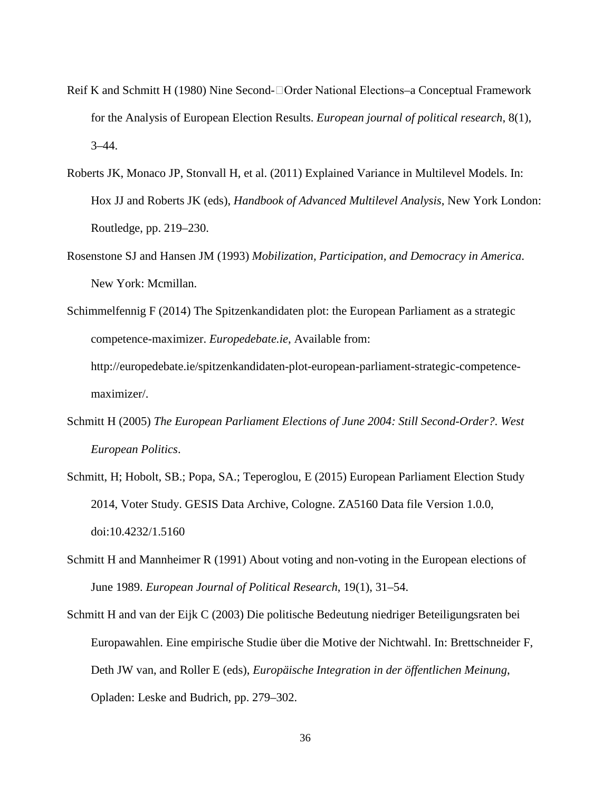- Reif K and Schmitt H (1980) Nine Second-□Order National Elections–a Conceptual Framework for the Analysis of European Election Results. *European journal of political research*, 8(1),  $3 - 44$ .
- Roberts JK, Monaco JP, Stonvall H, et al. (2011) Explained Variance in Multilevel Models. In: Hox JJ and Roberts JK (eds), *Handbook of Advanced Multilevel Analysis*, New York London: Routledge, pp. 219–230.
- Rosenstone SJ and Hansen JM (1993) *Mobilization, Participation, and Democracy in America*. New York: Mcmillan.

Schimmelfennig F (2014) The Spitzenkandidaten plot: the European Parliament as a strategic competence-maximizer. *Europedebate.ie*, Available from: http://europedebate.ie/spitzenkandidaten-plot-european-parliament-strategic-competencemaximizer/.

- Schmitt H (2005) *The European Parliament Elections of June 2004: Still Second-Order?*. *West European Politics*.
- Schmitt, H; Hobolt, SB.; Popa, SA.; Teperoglou, E (2015) European Parliament Election Study 2014, Voter Study. GESIS Data Archive, Cologne. ZA5160 Data file Version 1.0.0, doi:10.4232/1.5160
- Schmitt H and Mannheimer R (1991) About voting and non-voting in the European elections of June 1989. *European Journal of Political Research*, 19(1), 31–54.
- Schmitt H and van der Eijk C (2003) Die politische Bedeutung niedriger Beteiligungsraten bei Europawahlen. Eine empirische Studie über die Motive der Nichtwahl. In: Brettschneider F, Deth JW van, and Roller E (eds), *Europäische Integration in der öffentlichen Meinung*, Opladen: Leske and Budrich, pp. 279–302.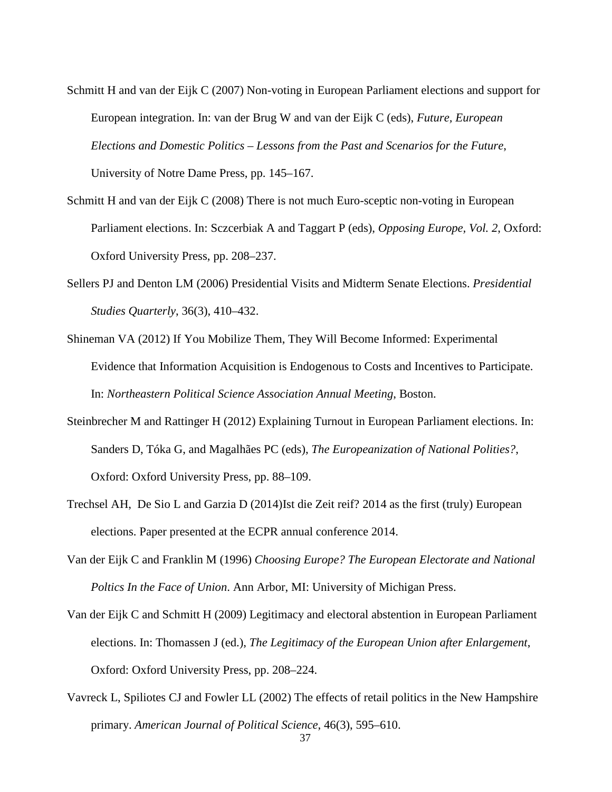- Schmitt H and van der Eijk C (2007) Non-voting in European Parliament elections and support for European integration. In: van der Brug W and van der Eijk C (eds), *Future, European Elections and Domestic Politics – Lessons from the Past and Scenarios for the Future*, University of Notre Dame Press, pp. 145–167.
- Schmitt H and van der Eijk C (2008) There is not much Euro-sceptic non-voting in European Parliament elections. In: Sczcerbiak A and Taggart P (eds), *Opposing Europe, Vol. 2*, Oxford: Oxford University Press, pp. 208–237.
- Sellers PJ and Denton LM (2006) Presidential Visits and Midterm Senate Elections. *Presidential Studies Quarterly*, 36(3), 410–432.
- Shineman VA (2012) If You Mobilize Them, They Will Become Informed: Experimental Evidence that Information Acquisition is Endogenous to Costs and Incentives to Participate. In: *Northeastern Political Science Association Annual Meeting*, Boston.
- Steinbrecher M and Rattinger H (2012) Explaining Turnout in European Parliament elections. In: Sanders D, Tóka G, and Magalhães PC (eds), *The Europeanization of National Polities?*, Oxford: Oxford University Press, pp. 88–109.
- Trechsel AH, De Sio L and Garzia D (2014)Ist die Zeit reif? 2014 as the first (truly) European elections. Paper presented at the ECPR annual conference 2014.
- Van der Eijk C and Franklin M (1996) *Choosing Europe? The European Electorate and National Poltics In the Face of Union*. Ann Arbor, MI: University of Michigan Press.
- Van der Eijk C and Schmitt H (2009) Legitimacy and electoral abstention in European Parliament elections. In: Thomassen J (ed.), *The Legitimacy of the European Union after Enlargement*, Oxford: Oxford University Press, pp. 208–224.
- Vavreck L, Spiliotes CJ and Fowler LL (2002) The effects of retail politics in the New Hampshire primary. *American Journal of Political Science*, 46(3), 595–610.